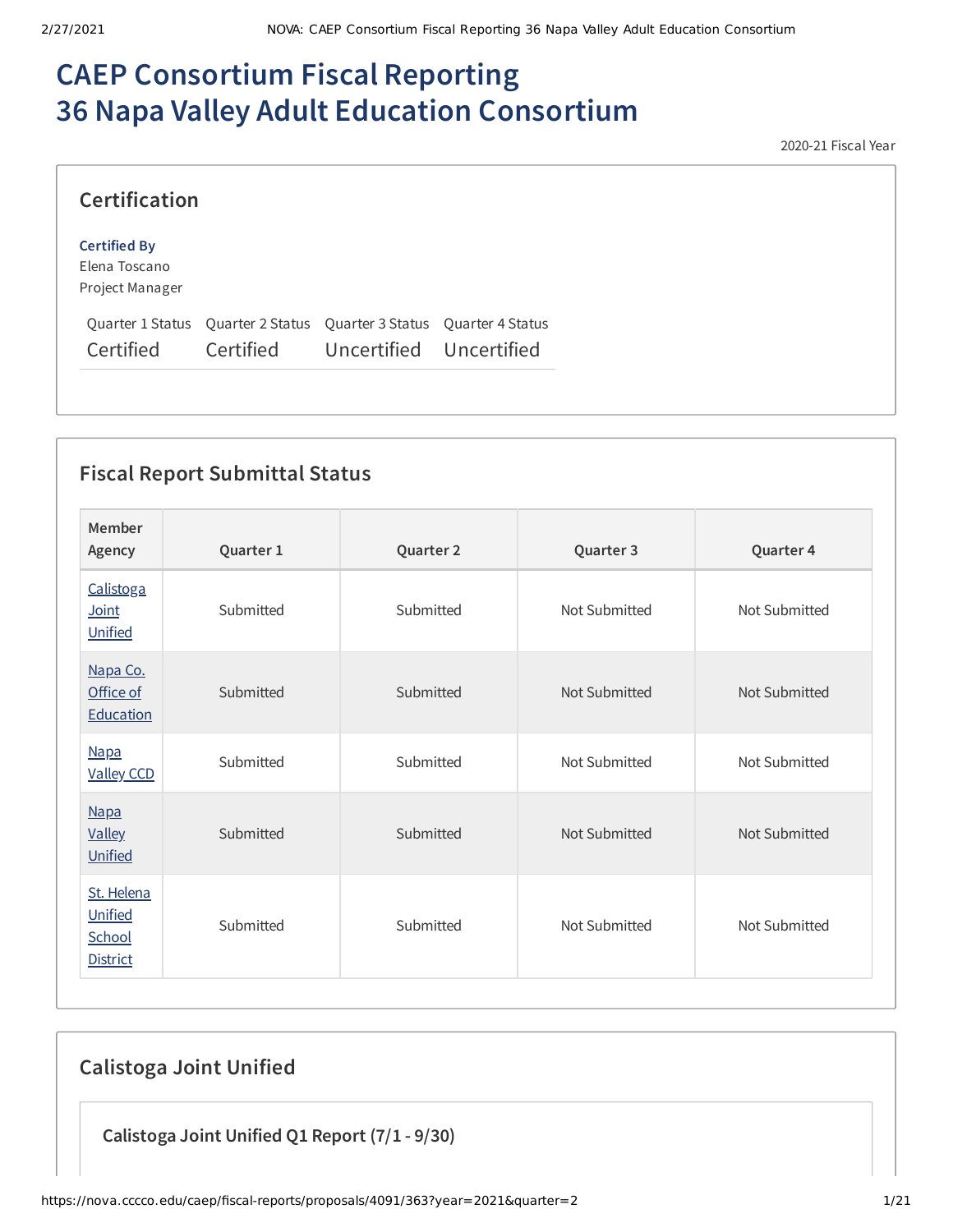# **CAEP Consortium Fiscal Reporting 36 Napa Valley Adult Education Consortium**

2020-21 Fiscal Year

| <b>Certification</b>                                    |                                                                                                          |  |
|---------------------------------------------------------|----------------------------------------------------------------------------------------------------------|--|
| <b>Certified By</b><br>Elena Toscano<br>Project Manager |                                                                                                          |  |
| Certified                                               | Quarter 1 Status Quarter 2 Status Quarter 3 Status Quarter 4 Status<br>Certified Uncertified Uncertified |  |

# **Fiscal Report Submittal Status**

| Member<br>Agency                                   | Quarter 1 | Quarter 2 | Quarter 3     | Quarter 4     |
|----------------------------------------------------|-----------|-----------|---------------|---------------|
| Calistoga<br>Joint<br>Unified                      | Submitted | Submitted | Not Submitted | Not Submitted |
| Napa Co.<br>Office of<br>Education                 | Submitted | Submitted | Not Submitted | Not Submitted |
| <b>Napa</b><br><b>Valley CCD</b>                   | Submitted | Submitted | Not Submitted | Not Submitted |
| <b>Napa</b><br><b>Valley</b><br>Unified            | Submitted | Submitted | Not Submitted | Not Submitted |
| St. Helena<br>Unified<br>School<br><b>District</b> | Submitted | Submitted | Not Submitted | Not Submitted |

# **Calistoga Joint Unified**

**Calistoga Joint Unified Q1 Report (7/1 - 9/30)**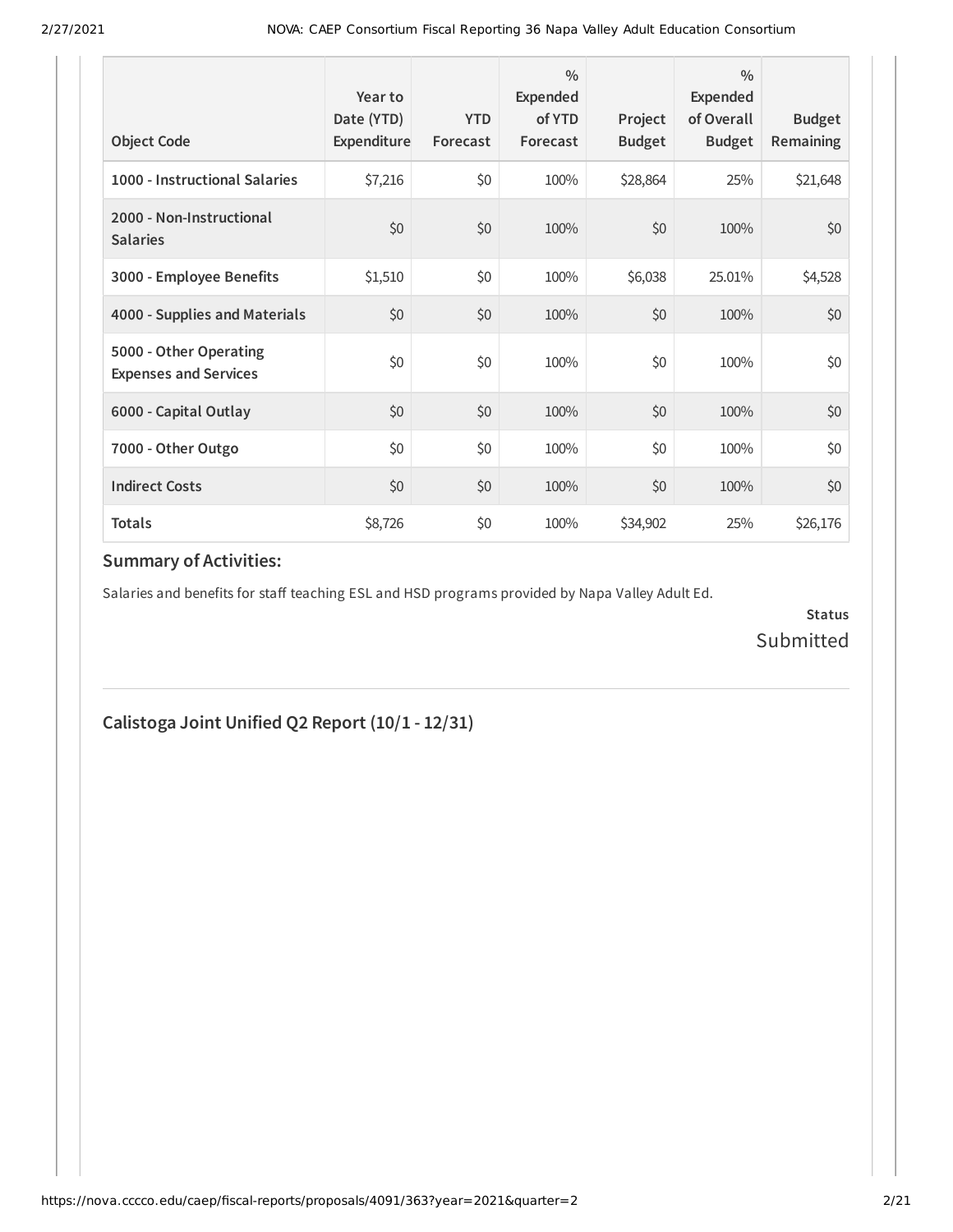| <b>Object Code</b>                                     | Year to<br>Date (YTD)<br>Expenditure | <b>YTD</b><br>Forecast | $\frac{0}{0}$<br>Expended<br>of YTD<br>Forecast | Project<br><b>Budget</b> | $\frac{0}{0}$<br>Expended<br>of Overall<br><b>Budget</b> | <b>Budget</b><br><b>Remaining</b> |
|--------------------------------------------------------|--------------------------------------|------------------------|-------------------------------------------------|--------------------------|----------------------------------------------------------|-----------------------------------|
| 1000 - Instructional Salaries                          | \$7,216                              | \$0                    | 100%                                            | \$28,864                 | 25%                                                      | \$21,648                          |
| 2000 - Non-Instructional<br><b>Salaries</b>            | \$0                                  | \$0                    | 100%                                            | \$0                      | 100%                                                     | \$0                               |
| 3000 - Employee Benefits                               | \$1,510                              | \$0                    | 100%                                            | \$6,038                  | 25.01%                                                   | \$4,528                           |
| 4000 - Supplies and Materials                          | \$0                                  | \$0                    | 100%                                            | \$0                      | 100%                                                     | \$0                               |
| 5000 - Other Operating<br><b>Expenses and Services</b> | \$0                                  | \$0                    | 100%                                            | \$0                      | 100%                                                     | \$0                               |
| 6000 - Capital Outlay                                  | \$0                                  | \$0                    | 100%                                            | \$0                      | 100%                                                     | \$0                               |
| 7000 - Other Outgo                                     | \$0                                  | \$0                    | 100%                                            | \$0                      | 100%                                                     | \$0                               |
| <b>Indirect Costs</b>                                  | \$0                                  | \$0                    | 100%                                            | \$0                      | 100%                                                     | \$0                               |
| <b>Totals</b>                                          | \$8,726                              | \$0                    | 100%                                            | \$34,902                 | 25%                                                      | \$26,176                          |

Salaries and benefits for staff teaching ESL and HSD programs provided by Napa Valley Adult Ed.

**Status** Submitted

## **Calistoga Joint Unified Q2 Report (10/1 - 12/31)**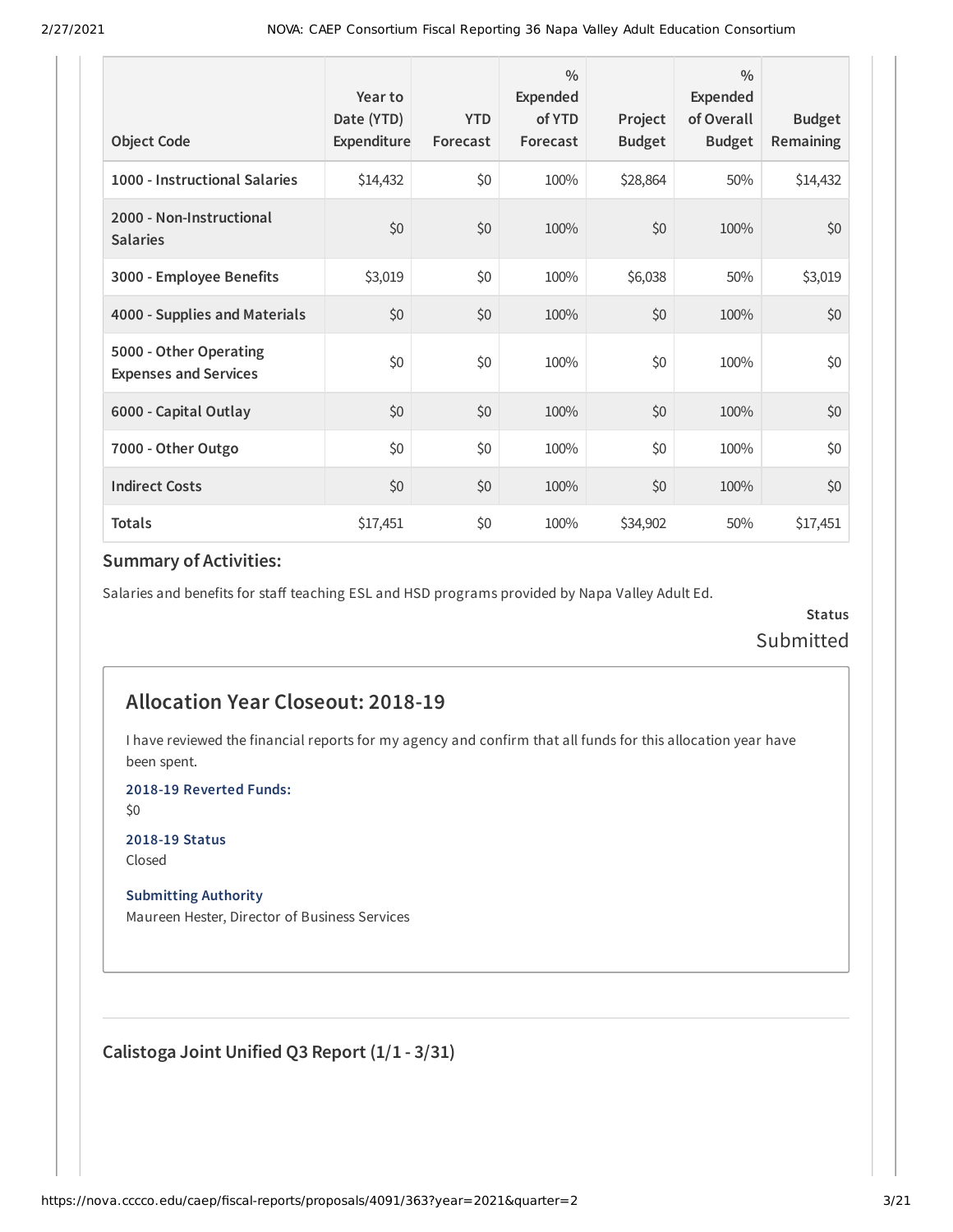| <b>Object Code</b>                                     | Year to<br>Date (YTD)<br>Expenditure | <b>YTD</b><br>Forecast | $\frac{0}{0}$<br>Expended<br>of YTD<br>Forecast | Project<br><b>Budget</b> | $\frac{0}{0}$<br>Expended<br>of Overall<br><b>Budget</b> | <b>Budget</b><br>Remaining |
|--------------------------------------------------------|--------------------------------------|------------------------|-------------------------------------------------|--------------------------|----------------------------------------------------------|----------------------------|
| 1000 - Instructional Salaries                          | \$14,432                             | \$0                    | 100%                                            | \$28,864                 | 50%                                                      | \$14,432                   |
| 2000 - Non-Instructional<br><b>Salaries</b>            | \$0                                  | \$0                    | 100%                                            | \$0                      | 100%                                                     | \$0                        |
| 3000 - Employee Benefits                               | \$3,019                              | \$0                    | 100%                                            | \$6,038                  | 50%                                                      | \$3,019                    |
| 4000 - Supplies and Materials                          | \$0                                  | \$0                    | 100%                                            | \$0                      | 100%                                                     | \$0                        |
| 5000 - Other Operating<br><b>Expenses and Services</b> | \$0                                  | \$0                    | 100%                                            | \$0                      | 100%                                                     | \$0                        |
| 6000 - Capital Outlay                                  | \$0                                  | \$0                    | 100%                                            | \$0                      | 100%                                                     | \$0                        |
| 7000 - Other Outgo                                     | \$0                                  | \$0                    | 100%                                            | \$0                      | 100%                                                     | \$0                        |
| <b>Indirect Costs</b>                                  | \$0                                  | \$0                    | 100%                                            | \$0                      | 100%                                                     | \$0                        |
| <b>Totals</b>                                          | \$17,451                             | \$0                    | 100%                                            | \$34,902                 | 50%                                                      | \$17,451                   |

Salaries and benefits for staff teaching ESL and HSD programs provided by Napa Valley Adult Ed.

**Status** Submitted

#### **Allocation Year Closeout: 2018-19**

I have reviewed the financial reports for my agency and confirm that all funds for this allocation year have been spent.

**2018-19 Reverted Funds:**

\$0

**2018-19 Status** Closed

#### **Submitting Authority**

Maureen Hester, Director of Business Services

**Calistoga Joint Unified Q3 Report (1/1 - 3/31)**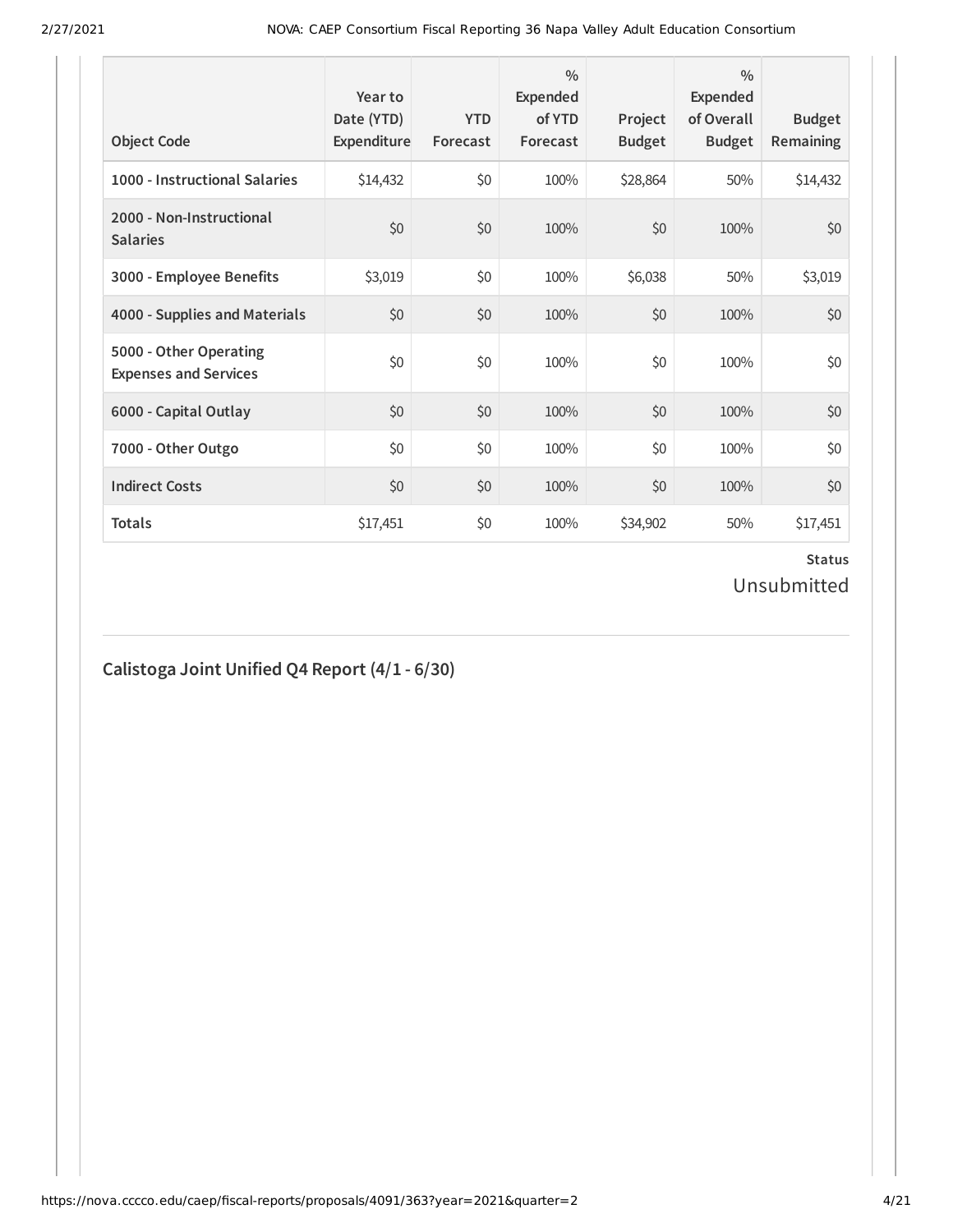| <b>Object Code</b>                                     | Year to<br>Date (YTD)<br>Expenditure | <b>YTD</b><br>Forecast | $\frac{0}{0}$<br>Expended<br>of YTD<br>Forecast | Project<br><b>Budget</b> | $\frac{0}{0}$<br>Expended<br>of Overall<br><b>Budget</b> | <b>Budget</b><br><b>Remaining</b> |
|--------------------------------------------------------|--------------------------------------|------------------------|-------------------------------------------------|--------------------------|----------------------------------------------------------|-----------------------------------|
| 1000 - Instructional Salaries                          | \$14,432                             | \$0                    | 100%                                            | \$28,864                 | 50%                                                      | \$14,432                          |
| 2000 - Non-Instructional<br><b>Salaries</b>            | \$0                                  | \$0                    | 100%                                            | \$0                      | 100%                                                     | \$0                               |
| 3000 - Employee Benefits                               | \$3,019                              | \$0                    | 100%                                            | \$6,038                  | 50%                                                      | \$3,019                           |
| 4000 - Supplies and Materials                          | \$0                                  | \$0                    | 100%                                            | \$0                      | 100%                                                     | \$0                               |
| 5000 - Other Operating<br><b>Expenses and Services</b> | \$0                                  | \$0                    | 100%                                            | \$0                      | 100%                                                     | \$0                               |
| 6000 - Capital Outlay                                  | \$0                                  | \$0                    | 100%                                            | \$0                      | 100%                                                     | \$0                               |
| 7000 - Other Outgo                                     | \$0                                  | \$0                    | 100%                                            | \$0                      | 100%                                                     | \$0                               |
| <b>Indirect Costs</b>                                  | \$0                                  | \$0                    | 100%                                            | \$0                      | 100%                                                     | \$0                               |
| <b>Totals</b>                                          | \$17,451                             | \$0                    | 100%                                            | \$34,902                 | 50%                                                      | \$17,451                          |

#### **Status** Unsubmitted

## **Calistoga Joint Unified Q4 Report (4/1 - 6/30)**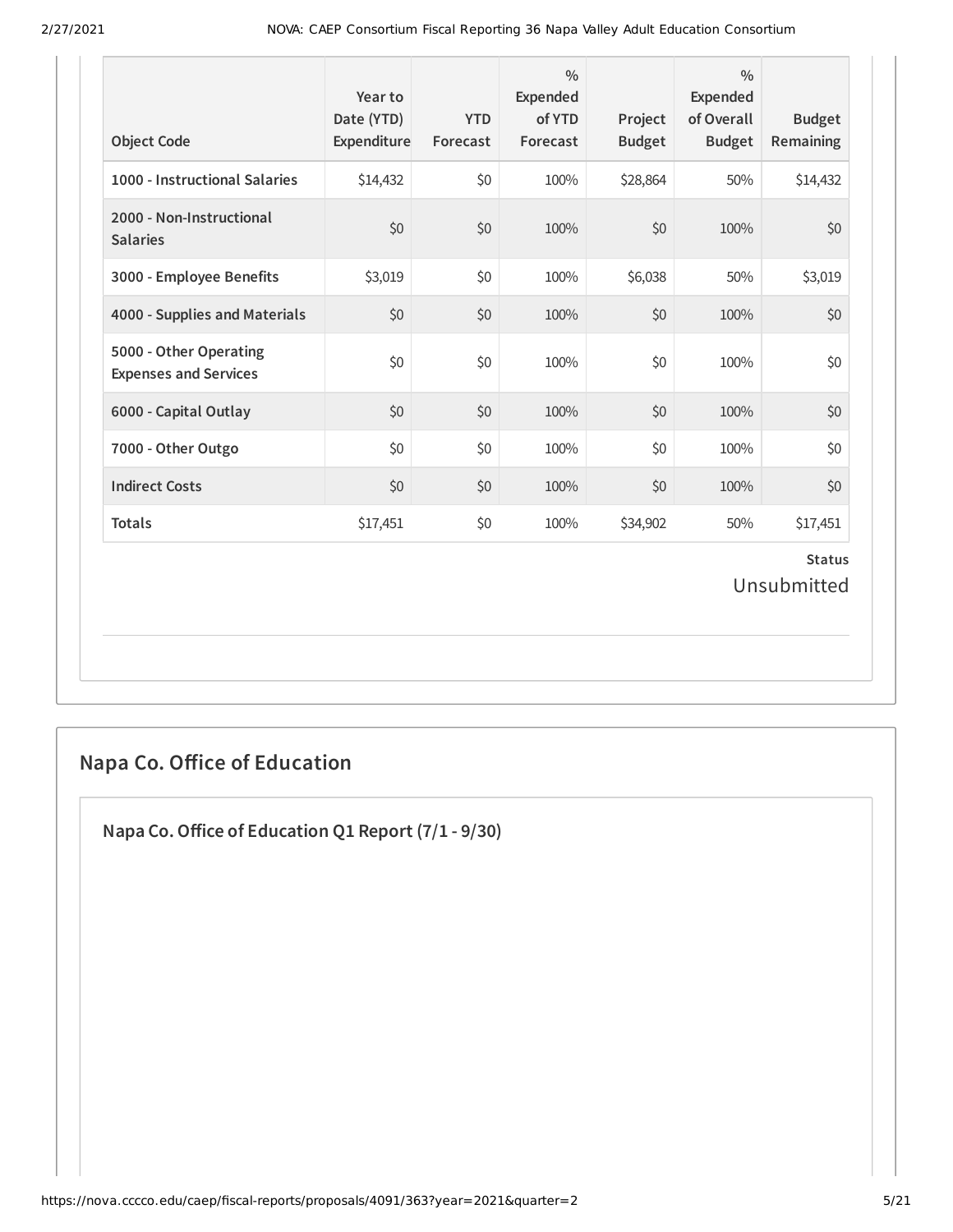| <b>Object Code</b>                                     | Year to<br>Date (YTD)<br>Expenditure | <b>YTD</b><br>Forecast | $\frac{0}{0}$<br>Expended<br>of YTD<br>Forecast | Project<br><b>Budget</b> | $\frac{0}{0}$<br><b>Expended</b><br>of Overall<br><b>Budget</b> | <b>Budget</b><br>Remaining   |
|--------------------------------------------------------|--------------------------------------|------------------------|-------------------------------------------------|--------------------------|-----------------------------------------------------------------|------------------------------|
| 1000 - Instructional Salaries                          | \$14,432                             | \$0                    | 100%                                            | \$28,864                 | 50%                                                             | \$14,432                     |
| 2000 - Non-Instructional<br><b>Salaries</b>            | \$0                                  | \$0                    | 100%                                            | \$0                      | 100%                                                            | \$0                          |
| 3000 - Employee Benefits                               | \$3,019                              | \$0                    | 100%                                            | \$6,038                  | 50%                                                             | \$3,019                      |
| 4000 - Supplies and Materials                          | \$0                                  | \$0                    | 100%                                            | \$0                      | 100%                                                            | \$0                          |
| 5000 - Other Operating<br><b>Expenses and Services</b> | \$0                                  | \$0                    | 100%                                            | \$0                      | 100%                                                            | \$0                          |
| 6000 - Capital Outlay                                  | \$0                                  | \$0                    | 100%                                            | \$0                      | 100%                                                            | \$0                          |
| 7000 - Other Outgo                                     | \$0                                  | \$0                    | 100%                                            | \$0                      | 100%                                                            | \$0                          |
| <b>Indirect Costs</b>                                  | \$0                                  | \$0                    | 100%                                            | \$0                      | 100%                                                            | \$0                          |
| <b>Totals</b>                                          | \$17,451                             | \$0                    | 100%                                            | \$34,902                 | 50%                                                             | \$17,451                     |
|                                                        |                                      |                        |                                                 |                          |                                                                 | <b>Status</b><br>Unsubmitted |

## **Napa Co. Oice of Education**

**Napa Co.Oice of Education Q1 Report (7/1 - 9/30)**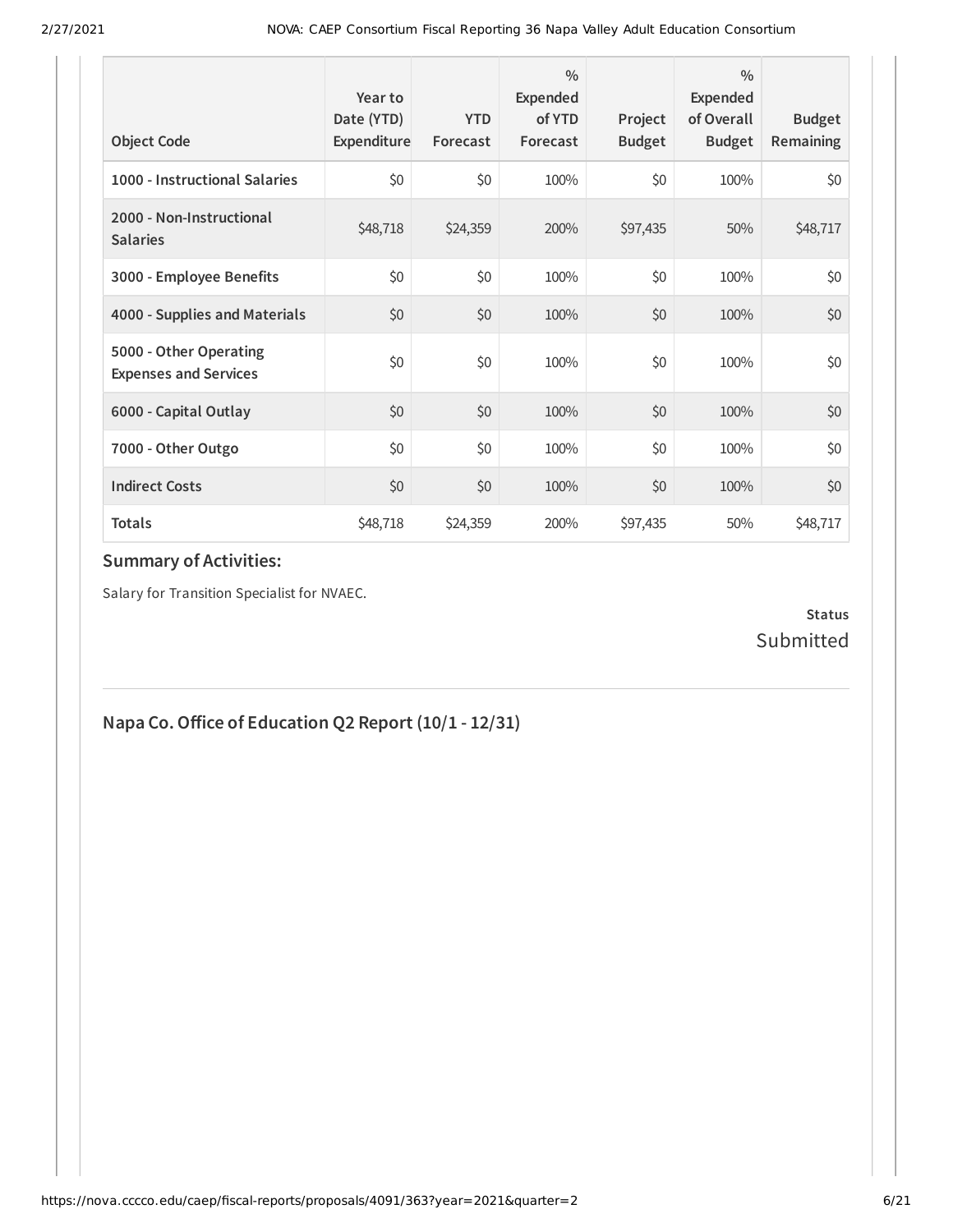| <b>Object Code</b>                                     | Year to<br>Date (YTD)<br>Expenditure | <b>YTD</b><br>Forecast | $\frac{0}{0}$<br>Expended<br>of YTD<br>Forecast | Project<br><b>Budget</b> | $\frac{0}{0}$<br>Expended<br>of Overall<br><b>Budget</b> | <b>Budget</b><br><b>Remaining</b> |
|--------------------------------------------------------|--------------------------------------|------------------------|-------------------------------------------------|--------------------------|----------------------------------------------------------|-----------------------------------|
| 1000 - Instructional Salaries                          | \$0                                  | \$0                    | 100%                                            | \$0                      | 100%                                                     | \$0                               |
| 2000 - Non-Instructional<br><b>Salaries</b>            | \$48,718                             | \$24,359               | 200%                                            | \$97,435                 | 50%                                                      | \$48,717                          |
| 3000 - Employee Benefits                               | \$0                                  | \$0                    | 100%                                            | \$0                      | 100%                                                     | \$0                               |
| 4000 - Supplies and Materials                          | \$0                                  | \$0                    | 100%                                            | \$0                      | 100%                                                     | \$0                               |
| 5000 - Other Operating<br><b>Expenses and Services</b> | \$0                                  | \$0                    | 100%                                            | \$0                      | 100%                                                     | \$0                               |
| 6000 - Capital Outlay                                  | \$0                                  | \$0                    | 100%                                            | \$0                      | 100%                                                     | \$0                               |
| 7000 - Other Outgo                                     | \$0                                  | \$0                    | 100%                                            | \$0                      | 100%                                                     | \$0                               |
| <b>Indirect Costs</b>                                  | \$0                                  | \$0                    | 100%                                            | \$0                      | 100%                                                     | \$0                               |
| <b>Totals</b>                                          | \$48,718                             | \$24,359               | 200%                                            | \$97,435                 | 50%                                                      | \$48,717                          |

Salary for Transition Specialist for NVAEC.

#### **Status** Submitted

## **Napa Co.Oice of Education Q2 Report (10/1 - 12/31)**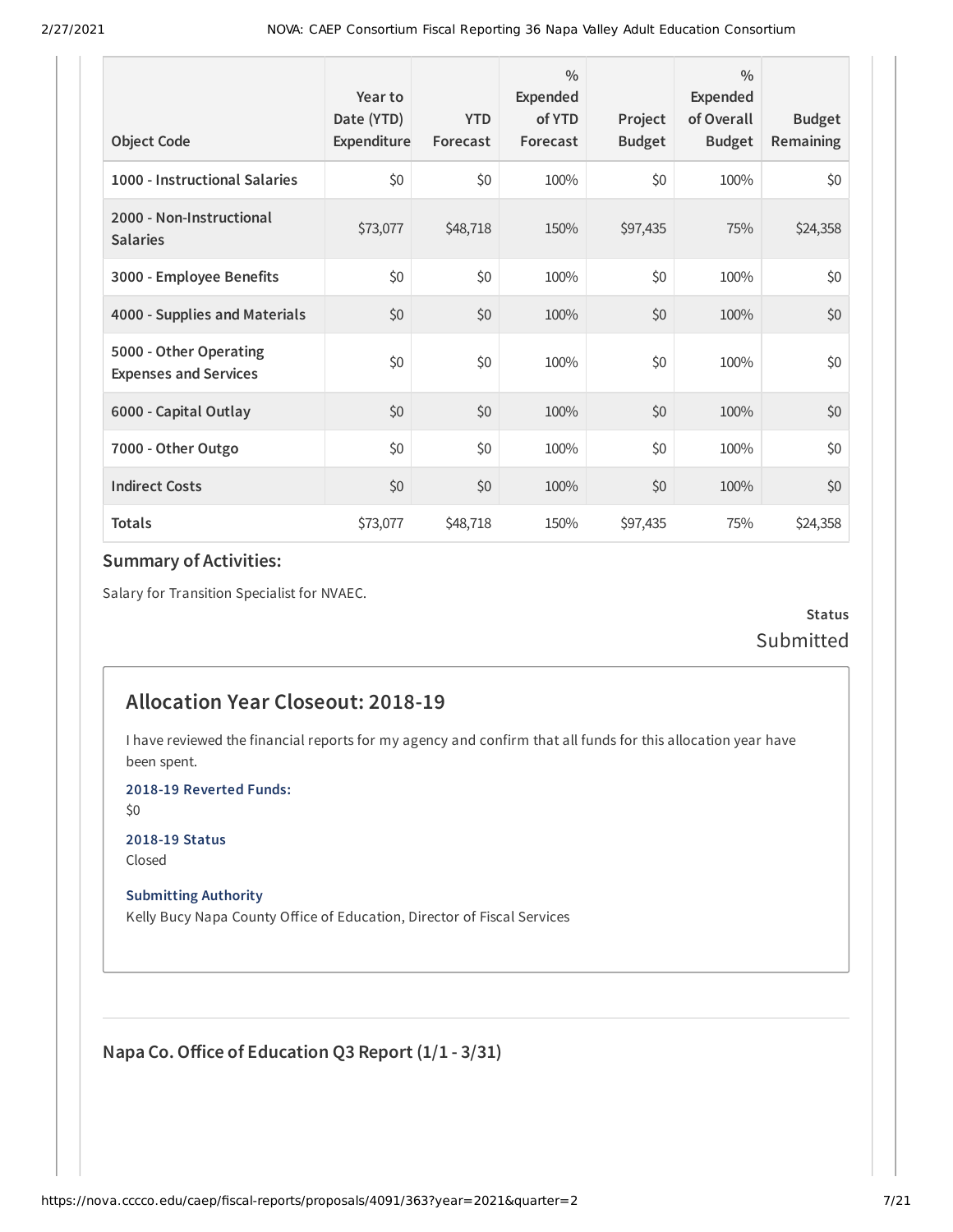| <b>Object Code</b>                                     | Year to<br>Date (YTD)<br>Expenditure | <b>YTD</b><br>Forecast | $\frac{0}{0}$<br>Expended<br>of YTD<br>Forecast | Project<br><b>Budget</b> | $\frac{0}{0}$<br>Expended<br>of Overall<br><b>Budget</b> | <b>Budget</b><br>Remaining |
|--------------------------------------------------------|--------------------------------------|------------------------|-------------------------------------------------|--------------------------|----------------------------------------------------------|----------------------------|
| 1000 - Instructional Salaries                          | \$0                                  | \$0                    | 100%                                            | \$0                      | 100%                                                     | \$0                        |
| 2000 - Non-Instructional<br><b>Salaries</b>            | \$73,077                             | \$48,718               | 150%                                            | \$97,435                 | 75%                                                      | \$24,358                   |
| 3000 - Employee Benefits                               | \$0                                  | \$0                    | 100%                                            | \$0                      | 100%                                                     | \$0                        |
| 4000 - Supplies and Materials                          | \$0                                  | \$0                    | 100%                                            | \$0                      | 100%                                                     | \$0                        |
| 5000 - Other Operating<br><b>Expenses and Services</b> | \$0                                  | \$0                    | 100%                                            | \$0                      | 100%                                                     | \$0                        |
| 6000 - Capital Outlay                                  | \$0                                  | \$0                    | 100%                                            | \$0                      | 100%                                                     | \$0                        |
| 7000 - Other Outgo                                     | \$0                                  | \$0                    | 100%                                            | \$0                      | 100%                                                     | \$0                        |
| <b>Indirect Costs</b>                                  | \$0                                  | \$0                    | 100%                                            | \$0                      | 100%                                                     | \$0                        |
| <b>Totals</b>                                          | \$73,077                             | \$48,718               | 150%                                            | \$97,435                 | 75%                                                      | \$24,358                   |

Salary for Transition Specialist for NVAEC.

**Status Submitted** 

#### **Allocation Year Closeout: 2018-19**

I have reviewed the financial reports for my agency and confirm that all funds for this allocation year have been spent.

**2018-19 Reverted Funds:**

\$0

**2018-19 Status** Closed

**Submitting Authority**

Kelly Bucy Napa County Office of Education, Director of Fiscal Services

**Napa Co.Oice of Education Q3 Report (1/1 - 3/31)**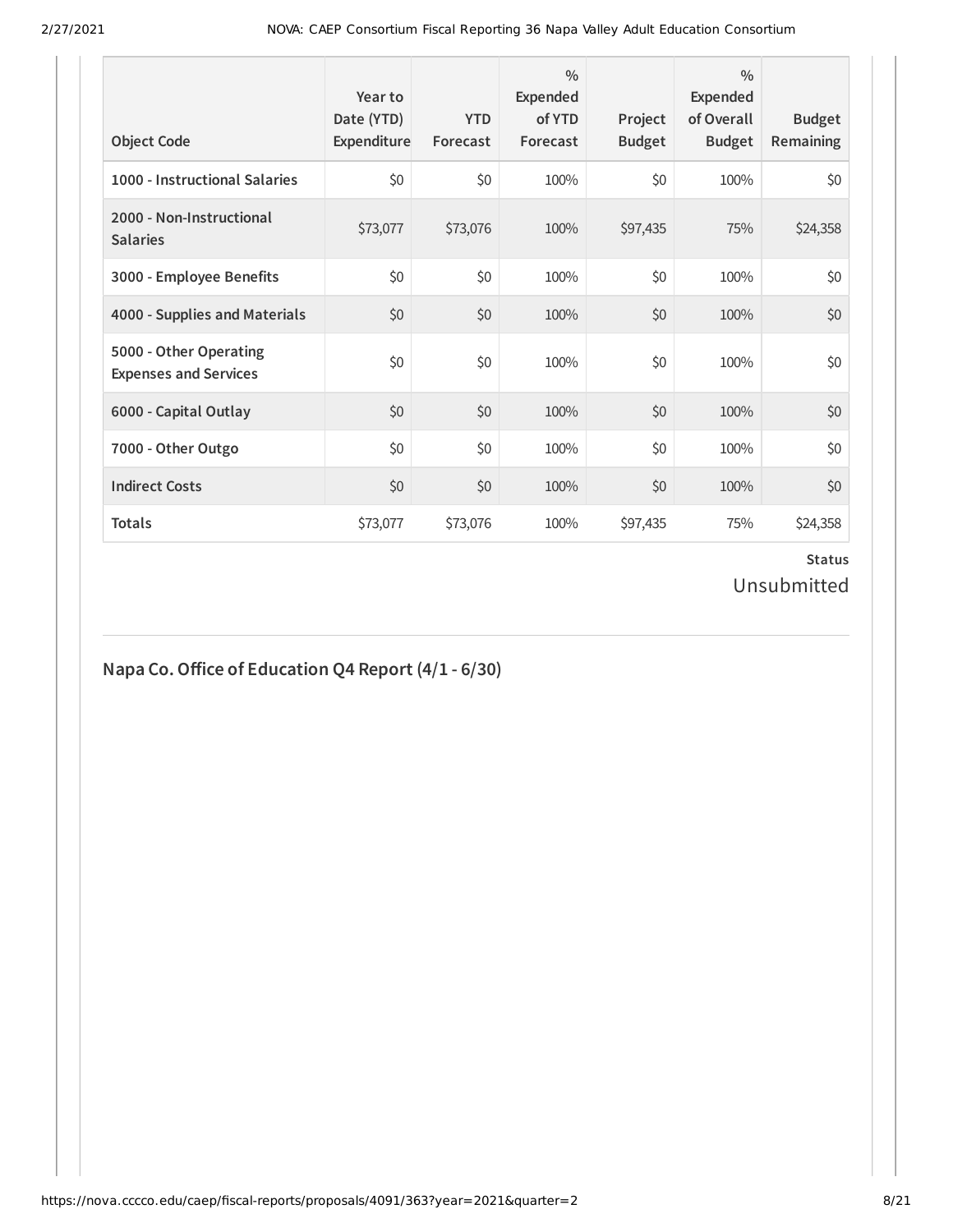| <b>Object Code</b>                                     | Year to<br>Date (YTD)<br>Expenditure | <b>YTD</b><br>Forecast | $\frac{0}{0}$<br>Expended<br>of YTD<br>Forecast | Project<br><b>Budget</b> | $\frac{0}{0}$<br>Expended<br>of Overall<br><b>Budget</b> | <b>Budget</b><br><b>Remaining</b> |
|--------------------------------------------------------|--------------------------------------|------------------------|-------------------------------------------------|--------------------------|----------------------------------------------------------|-----------------------------------|
| 1000 - Instructional Salaries                          | \$0                                  | \$0                    | 100%                                            | \$0                      | 100%                                                     | \$0                               |
| 2000 - Non-Instructional<br><b>Salaries</b>            | \$73,077                             | \$73,076               | 100%                                            | \$97,435                 | 75%                                                      | \$24,358                          |
| 3000 - Employee Benefits                               | \$0                                  | \$0                    | 100%                                            | \$0                      | 100%                                                     | \$0                               |
| 4000 - Supplies and Materials                          | \$0                                  | \$0                    | 100%                                            | \$0                      | 100%                                                     | \$0                               |
| 5000 - Other Operating<br><b>Expenses and Services</b> | \$0                                  | \$0                    | 100%                                            | \$0                      | 100%                                                     | \$0                               |
| 6000 - Capital Outlay                                  | \$0                                  | \$0                    | 100%                                            | \$0                      | 100%                                                     | \$0                               |
| 7000 - Other Outgo                                     | \$0                                  | \$0                    | 100%                                            | \$0                      | 100%                                                     | \$0                               |
| <b>Indirect Costs</b>                                  | \$0                                  | \$0                    | 100%                                            | \$0                      | 100%                                                     | \$0                               |
| <b>Totals</b>                                          | \$73,077                             | \$73,076               | 100%                                            | \$97,435                 | 75%                                                      | \$24,358                          |

#### **Status** Unsubmitted

#### **Napa Co.Oice of Education Q4 Report (4/1 - 6/30)**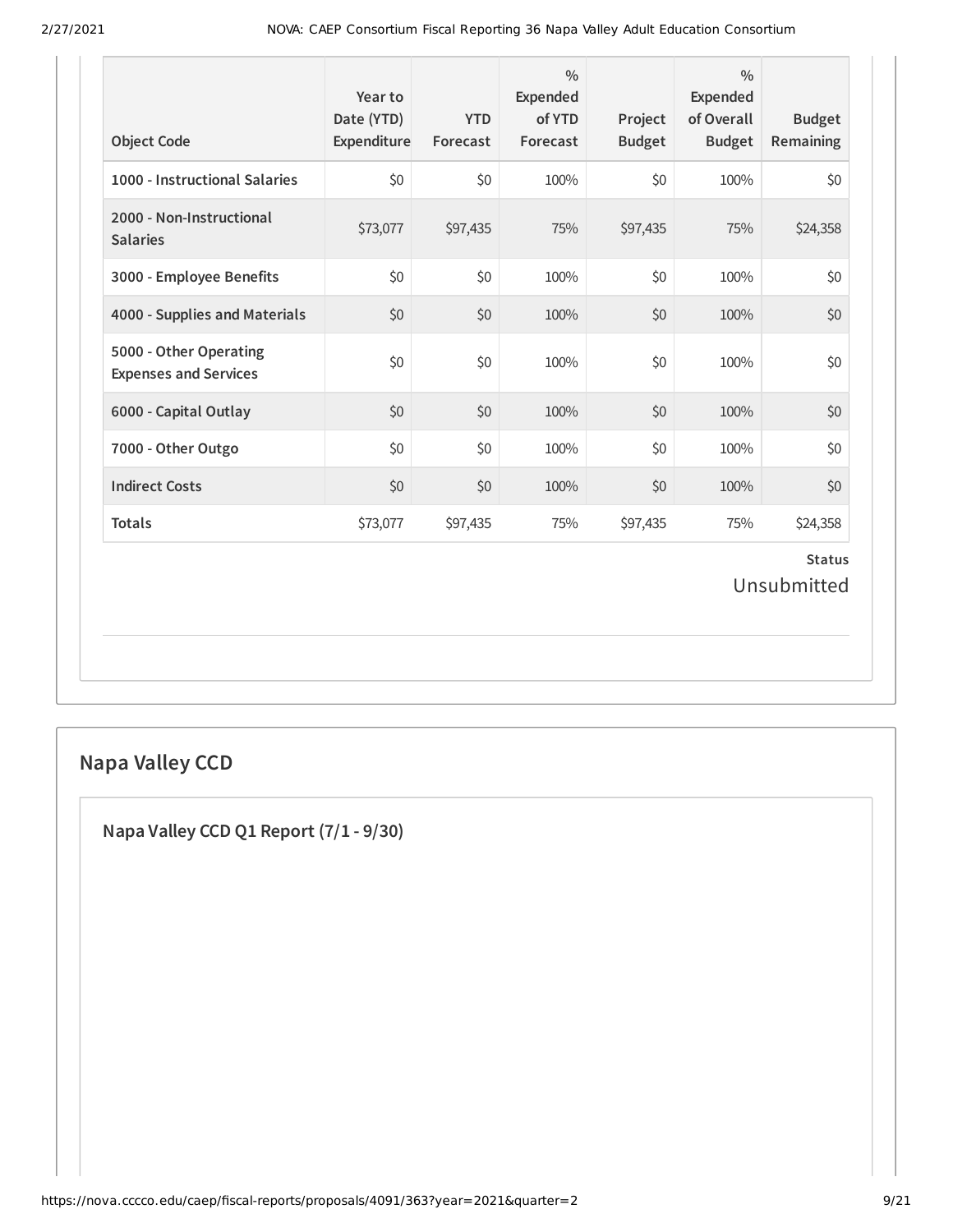| <b>Object Code</b>                                     | Year to<br>Date (YTD)<br>Expenditure | <b>YTD</b><br>Forecast | $\frac{0}{0}$<br>Expended<br>of YTD<br>Forecast | Project<br><b>Budget</b> | $\frac{0}{0}$<br><b>Expended</b><br>of Overall<br><b>Budget</b> | <b>Budget</b><br>Remaining   |
|--------------------------------------------------------|--------------------------------------|------------------------|-------------------------------------------------|--------------------------|-----------------------------------------------------------------|------------------------------|
| 1000 - Instructional Salaries                          | \$0                                  | \$0                    | 100%                                            | \$0                      | 100%                                                            | \$0                          |
| 2000 - Non-Instructional<br><b>Salaries</b>            | \$73,077                             | \$97,435               | 75%                                             | \$97,435                 | 75%                                                             | \$24,358                     |
| 3000 - Employee Benefits                               | \$0                                  | \$0                    | 100%                                            | \$0                      | 100%                                                            | \$0                          |
| 4000 - Supplies and Materials                          | \$0                                  | \$0                    | 100%                                            | \$0                      | 100%                                                            | \$0                          |
| 5000 - Other Operating<br><b>Expenses and Services</b> | \$0                                  | \$0                    | 100%                                            | \$0                      | 100%                                                            | \$0                          |
| 6000 - Capital Outlay                                  | \$0                                  | \$0                    | 100%                                            | \$0                      | 100%                                                            | \$0                          |
| 7000 - Other Outgo                                     | \$0                                  | \$0                    | 100%                                            | \$0                      | 100%                                                            | \$0                          |
| <b>Indirect Costs</b>                                  | \$0                                  | \$0                    | 100%                                            | \$0                      | 100%                                                            | \$0                          |
| <b>Totals</b>                                          | \$73,077                             | \$97,435               | 75%                                             | \$97,435                 | 75%                                                             | \$24,358                     |
|                                                        |                                      |                        |                                                 |                          |                                                                 | <b>Status</b><br>Unsubmitted |

# **Napa Valley CCD**

**Napa Valley CCD Q1 Report (7/1 - 9/30)**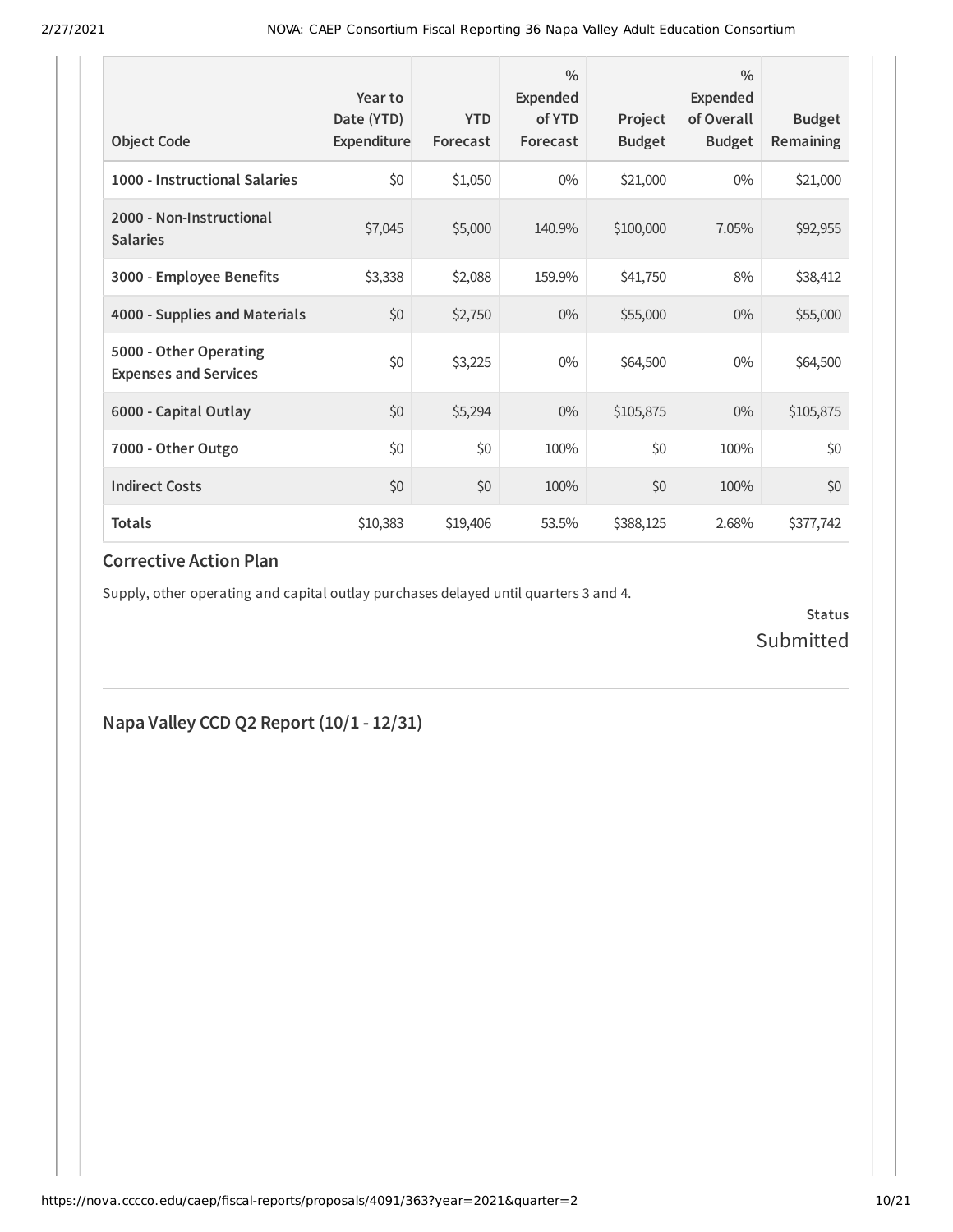| <b>Object Code</b>                                     | Year to<br>Date (YTD)<br>Expenditure | <b>YTD</b><br>Forecast | $\frac{0}{0}$<br>Expended<br>of YTD<br>Forecast | Project<br><b>Budget</b> | $\frac{0}{0}$<br>Expended<br>of Overall<br><b>Budget</b> | <b>Budget</b><br>Remaining |
|--------------------------------------------------------|--------------------------------------|------------------------|-------------------------------------------------|--------------------------|----------------------------------------------------------|----------------------------|
| 1000 - Instructional Salaries                          | \$0                                  | \$1,050                | $0\%$                                           | \$21,000                 | $0\%$                                                    | \$21,000                   |
| 2000 - Non-Instructional<br><b>Salaries</b>            | \$7,045                              | \$5,000                | 140.9%                                          | \$100,000                | 7.05%                                                    | \$92,955                   |
| 3000 - Employee Benefits                               | \$3,338                              | \$2,088                | 159.9%                                          | \$41,750                 | 8%                                                       | \$38,412                   |
| 4000 - Supplies and Materials                          | \$0                                  | \$2,750                | $0\%$                                           | \$55,000                 | $0\%$                                                    | \$55,000                   |
| 5000 - Other Operating<br><b>Expenses and Services</b> | \$0                                  | \$3,225                | $0\%$                                           | \$64,500                 | $0\%$                                                    | \$64,500                   |
| 6000 - Capital Outlay                                  | \$0                                  | \$5,294                | $0\%$                                           | \$105,875                | $0\%$                                                    | \$105,875                  |
| 7000 - Other Outgo                                     | \$0                                  | \$0                    | 100%                                            | \$0                      | 100%                                                     | \$0                        |
| <b>Indirect Costs</b>                                  | \$0                                  | \$0                    | 100%                                            | \$0                      | 100%                                                     | \$0                        |
| <b>Totals</b>                                          | \$10,383                             | \$19,406               | 53.5%                                           | \$388,125                | 2.68%                                                    | \$377,742                  |

#### **Corrective Action Plan**

Supply, other operating and capital outlay purchases delayed until quarters 3 and 4.

**Status** Submitted

**Napa Valley CCD Q2 Report (10/1 - 12/31)**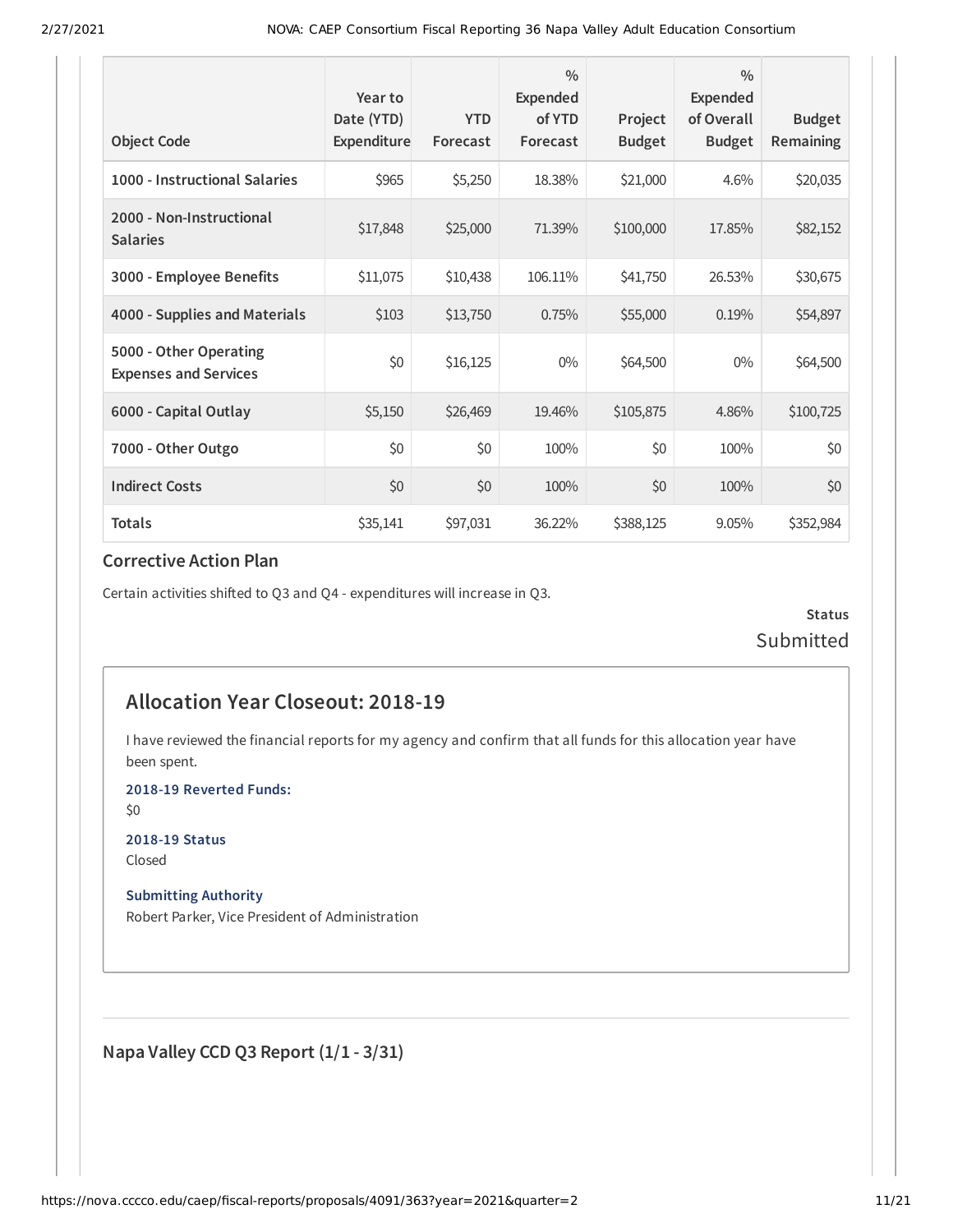| <b>Object Code</b>                                     | Year to<br>Date (YTD)<br>Expenditure | <b>YTD</b><br>Forecast | $\frac{0}{0}$<br><b>Expended</b><br>of YTD<br>Forecast | Project<br><b>Budget</b> | $\frac{0}{0}$<br><b>Expended</b><br>of Overall<br><b>Budget</b> | <b>Budget</b><br><b>Remaining</b> |
|--------------------------------------------------------|--------------------------------------|------------------------|--------------------------------------------------------|--------------------------|-----------------------------------------------------------------|-----------------------------------|
| 1000 - Instructional Salaries                          | \$965                                | \$5,250                | 18.38%                                                 | \$21,000                 | 4.6%                                                            | \$20,035                          |
| 2000 - Non-Instructional<br><b>Salaries</b>            | \$17,848                             | \$25,000               | 71.39%                                                 | \$100,000                | 17.85%                                                          | \$82,152                          |
| 3000 - Employee Benefits                               | \$11,075                             | \$10,438               | 106.11%                                                | \$41,750                 | 26.53%                                                          | \$30,675                          |
| 4000 - Supplies and Materials                          | \$103                                | \$13,750               | 0.75%                                                  | \$55,000                 | 0.19%                                                           | \$54,897                          |
| 5000 - Other Operating<br><b>Expenses and Services</b> | \$0                                  | \$16,125               | $0\%$                                                  | \$64,500                 | $0\%$                                                           | \$64,500                          |
| 6000 - Capital Outlay                                  | \$5,150                              | \$26,469               | 19.46%                                                 | \$105,875                | 4.86%                                                           | \$100,725                         |
| 7000 - Other Outgo                                     | \$0                                  | \$0                    | 100%                                                   | \$0                      | 100%                                                            | \$0                               |
| <b>Indirect Costs</b>                                  | \$0                                  | \$0                    | 100%                                                   | \$0                      | 100%                                                            | \$0                               |
| <b>Totals</b>                                          | \$35,141                             | \$97,031               | 36.22%                                                 | \$388,125                | 9.05%                                                           | \$352,984                         |

#### **Corrective Action Plan**

Certain activities shifted to Q3 and Q4 - expenditures will increase in Q3.

**Status** Submitted

#### **Allocation Year Closeout: 2018-19**

I have reviewed the financial reports for my agency and confirm that all funds for this allocation year have been spent.

**2018-19 Reverted Funds:**

\$0

**2018-19 Status** Closed

**Submitting Authority**

Robert Parker, Vice President of Administration

**Napa Valley CCD Q3 Report (1/1 - 3/31)**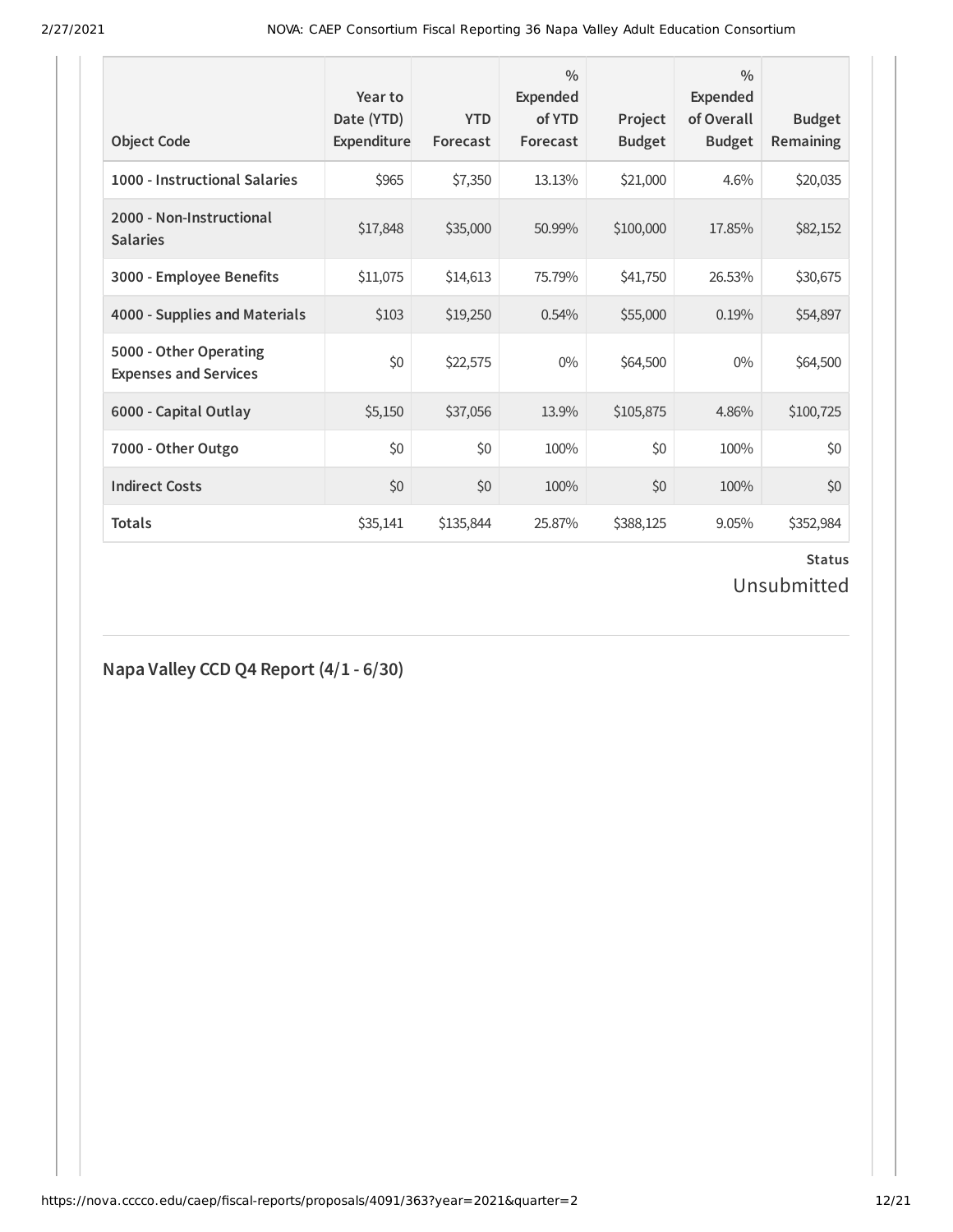| <b>Object Code</b>                                     | Year to<br>Date (YTD)<br>Expenditure | <b>YTD</b><br>Forecast | $\frac{0}{0}$<br>Expended<br>of YTD<br>Forecast | Project<br><b>Budget</b> | $\frac{0}{0}$<br>Expended<br>of Overall<br><b>Budget</b> | <b>Budget</b><br>Remaining |
|--------------------------------------------------------|--------------------------------------|------------------------|-------------------------------------------------|--------------------------|----------------------------------------------------------|----------------------------|
| 1000 - Instructional Salaries                          | \$965                                | \$7,350                | 13.13%                                          | \$21,000                 | 4.6%                                                     | \$20,035                   |
| 2000 - Non-Instructional<br><b>Salaries</b>            | \$17,848                             | \$35,000               | 50.99%                                          | \$100,000                | 17.85%                                                   | \$82,152                   |
| 3000 - Employee Benefits                               | \$11,075                             | \$14,613               | 75.79%                                          | \$41,750                 | 26.53%                                                   | \$30,675                   |
| 4000 - Supplies and Materials                          | \$103                                | \$19,250               | 0.54%                                           | \$55,000                 | 0.19%                                                    | \$54,897                   |
| 5000 - Other Operating<br><b>Expenses and Services</b> | \$0                                  | \$22,575               | $0\%$                                           | \$64,500                 | $0\%$                                                    | \$64,500                   |
| 6000 - Capital Outlay                                  | \$5,150                              | \$37,056               | 13.9%                                           | \$105,875                | 4.86%                                                    | \$100,725                  |
| 7000 - Other Outgo                                     | \$0                                  | \$0                    | 100%                                            | \$0                      | 100%                                                     | \$0                        |
| <b>Indirect Costs</b>                                  | \$0                                  | \$0                    | 100%                                            | \$0                      | 100%                                                     | \$0                        |
| <b>Totals</b>                                          | \$35,141                             | \$135,844              | 25.87%                                          | \$388,125                | 9.05%                                                    | \$352,984                  |

# **Status**

# Unsubmitted

#### **Napa Valley CCD Q4 Report (4/1 - 6/30)**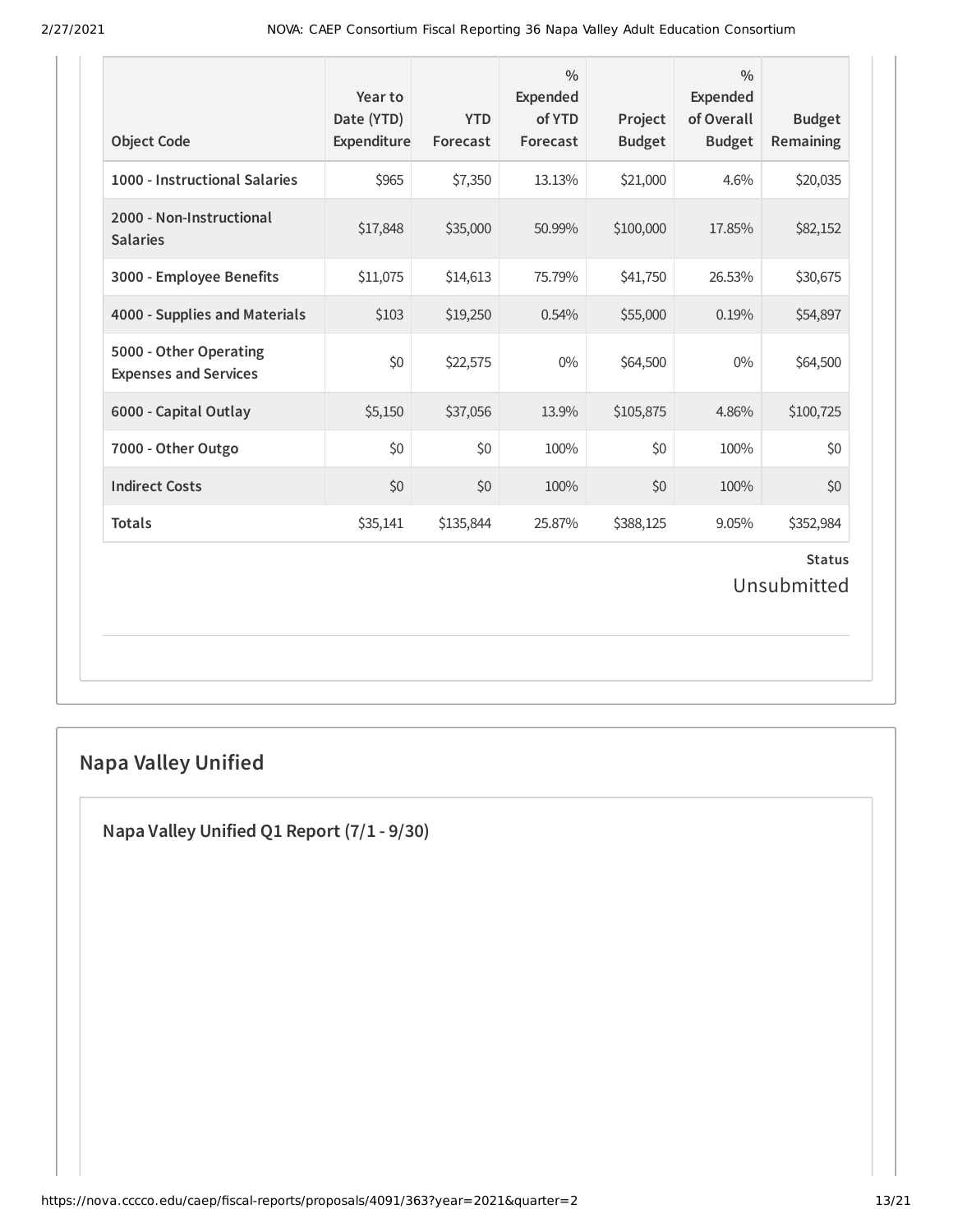| <b>Object Code</b>                                     | Year to<br>Date (YTD)<br>Expenditure | <b>YTD</b><br>Forecast | $\frac{0}{0}$<br>Expended<br>of YTD<br>Forecast | Project<br><b>Budget</b> | $\frac{0}{0}$<br><b>Expended</b><br>of Overall<br><b>Budget</b> | <b>Budget</b><br>Remaining   |
|--------------------------------------------------------|--------------------------------------|------------------------|-------------------------------------------------|--------------------------|-----------------------------------------------------------------|------------------------------|
| 1000 - Instructional Salaries                          | \$965                                | \$7,350                | 13.13%                                          | \$21,000                 | 4.6%                                                            | \$20,035                     |
| 2000 - Non-Instructional<br><b>Salaries</b>            | \$17,848                             | \$35,000               | 50.99%                                          | \$100,000                | 17.85%                                                          | \$82,152                     |
| 3000 - Employee Benefits                               | \$11,075                             | \$14,613               | 75.79%                                          | \$41,750                 | 26.53%                                                          | \$30,675                     |
| 4000 - Supplies and Materials                          | \$103                                | \$19,250               | 0.54%                                           | \$55,000                 | 0.19%                                                           | \$54,897                     |
| 5000 - Other Operating<br><b>Expenses and Services</b> | \$0                                  | \$22,575               | $0\%$                                           | \$64,500                 | $0\%$                                                           | \$64,500                     |
| 6000 - Capital Outlay                                  | \$5,150                              | \$37,056               | 13.9%                                           | \$105,875                | 4.86%                                                           | \$100,725                    |
| 7000 - Other Outgo                                     | \$0                                  | \$0                    | 100%                                            | \$0                      | 100%                                                            | \$0                          |
| <b>Indirect Costs</b>                                  | \$0                                  | \$0                    | 100%                                            | \$0                      | 100%                                                            | \$0                          |
| <b>Totals</b>                                          | \$35,141                             | \$135,844              | 25.87%                                          | \$388,125                | 9.05%                                                           | \$352,984                    |
|                                                        |                                      |                        |                                                 |                          |                                                                 | <b>Status</b><br>Unsubmitted |

# **Napa Valley Unified**

**Napa Valley Unified Q1 Report (7/1 - 9/30)**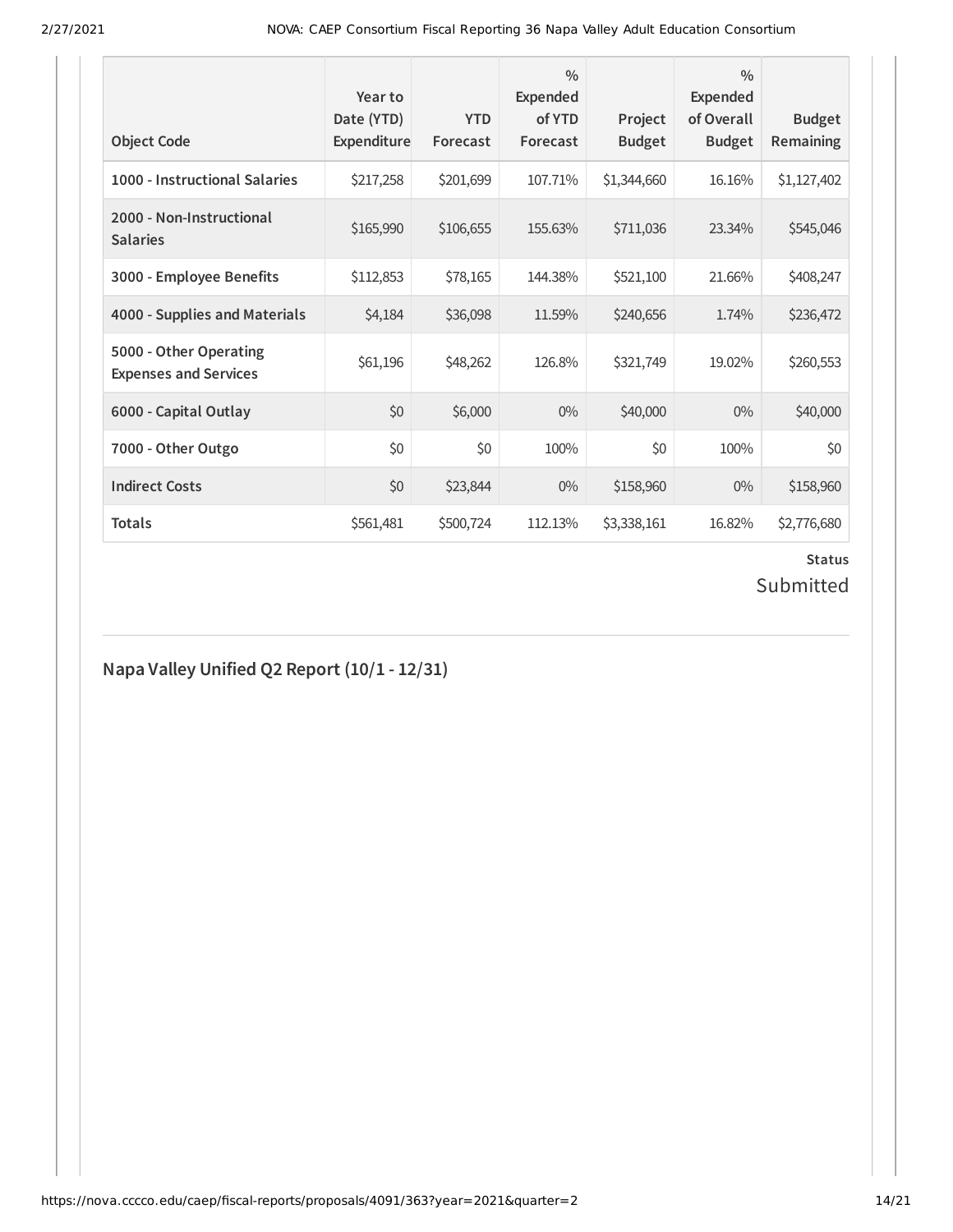| <b>Object Code</b>                                     | Year to<br>Date (YTD)<br>Expenditure | <b>YTD</b><br>Forecast | $\frac{0}{0}$<br><b>Expended</b><br>of YTD<br>Forecast | Project<br><b>Budget</b> | $\frac{0}{0}$<br><b>Expended</b><br>of Overall<br><b>Budget</b> | <b>Budget</b><br>Remaining |
|--------------------------------------------------------|--------------------------------------|------------------------|--------------------------------------------------------|--------------------------|-----------------------------------------------------------------|----------------------------|
| 1000 - Instructional Salaries                          | \$217,258                            | \$201,699              | 107.71%                                                | \$1,344,660              | 16.16%                                                          | \$1,127,402                |
| 2000 - Non-Instructional<br><b>Salaries</b>            | \$165,990                            | \$106,655              | 155.63%                                                | \$711,036                | 23.34%                                                          | \$545,046                  |
| 3000 - Employee Benefits                               | \$112,853                            | \$78,165               | 144.38%                                                | \$521,100                | 21.66%                                                          | \$408,247                  |
| 4000 - Supplies and Materials                          | \$4,184                              | \$36,098               | 11.59%                                                 | \$240,656                | 1.74%                                                           | \$236,472                  |
| 5000 - Other Operating<br><b>Expenses and Services</b> | \$61,196                             | \$48,262               | 126.8%                                                 | \$321,749                | 19.02%                                                          | \$260,553                  |
| 6000 - Capital Outlay                                  | \$0                                  | \$6,000                | $0\%$                                                  | \$40,000                 | $0\%$                                                           | \$40,000                   |
| 7000 - Other Outgo                                     | \$0                                  | \$0                    | 100%                                                   | \$0                      | 100%                                                            | \$0                        |
| <b>Indirect Costs</b>                                  | \$0                                  | \$23,844               | $0\%$                                                  | \$158,960                | $0\%$                                                           | \$158,960                  |
| <b>Totals</b>                                          | \$561,481                            | \$500,724              | 112.13%                                                | \$3,338,161              | 16.82%                                                          | \$2,776,680                |

# **Status**

# Submitted

#### **Napa Valley Unified Q2 Report (10/1 - 12/31)**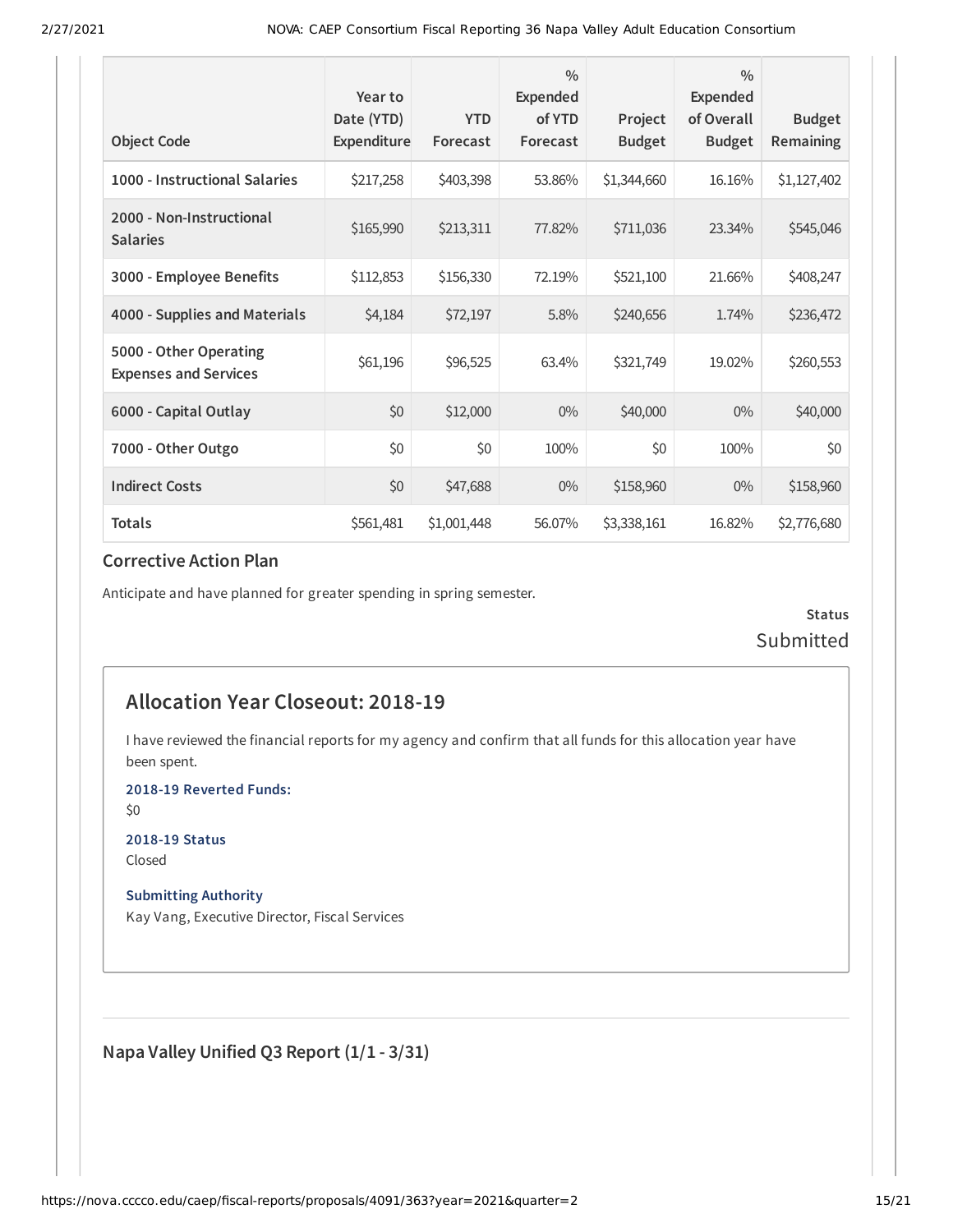| <b>Object Code</b>                                     | Year to<br>Date (YTD)<br><b>Expenditure</b> | <b>YTD</b><br>Forecast | $\frac{0}{0}$<br>Expended<br>of YTD<br>Forecast | Project<br><b>Budget</b> | $\frac{0}{0}$<br><b>Expended</b><br>of Overall<br><b>Budget</b> | <b>Budget</b><br><b>Remaining</b> |
|--------------------------------------------------------|---------------------------------------------|------------------------|-------------------------------------------------|--------------------------|-----------------------------------------------------------------|-----------------------------------|
| 1000 - Instructional Salaries                          | \$217,258                                   | \$403,398              | 53.86%                                          | \$1,344,660              | 16.16%                                                          | \$1,127,402                       |
| 2000 - Non-Instructional<br><b>Salaries</b>            | \$165,990                                   | \$213,311              | 77.82%                                          | \$711,036                | 23.34%                                                          | \$545,046                         |
| 3000 - Employee Benefits                               | \$112,853                                   | \$156,330              | 72.19%                                          | \$521,100                | 21.66%                                                          | \$408,247                         |
| 4000 - Supplies and Materials                          | \$4,184                                     | \$72,197               | 5.8%                                            | \$240,656                | 1.74%                                                           | \$236,472                         |
| 5000 - Other Operating<br><b>Expenses and Services</b> | \$61,196                                    | \$96,525               | 63.4%                                           | \$321,749                | 19.02%                                                          | \$260,553                         |
| 6000 - Capital Outlay                                  | \$0                                         | \$12,000               | $0\%$                                           | \$40,000                 | $0\%$                                                           | \$40,000                          |
| 7000 - Other Outgo                                     | \$0                                         | \$0                    | 100%                                            | \$0                      | 100%                                                            | \$0                               |
| <b>Indirect Costs</b>                                  | \$0                                         | \$47,688               | $0\%$                                           | \$158,960                | $0\%$                                                           | \$158,960                         |
| <b>Totals</b>                                          | \$561,481                                   | \$1,001,448            | 56.07%                                          | \$3,338,161              | 16.82%                                                          | \$2,776,680                       |

#### **Corrective Action Plan**

Anticipate and have planned for greater spending in spring semester.

**Status** Submitted

#### **Allocation Year Closeout: 2018-19**

I have reviewed the financial reports for my agency and confirm that all funds for this allocation year have been spent.

**2018-19 Reverted Funds:**

\$0

**2018-19 Status** Closed

**Submitting Authority**

Kay Vang, Executive Director, Fiscal Services

**Napa Valley Unified Q3 Report (1/1 - 3/31)**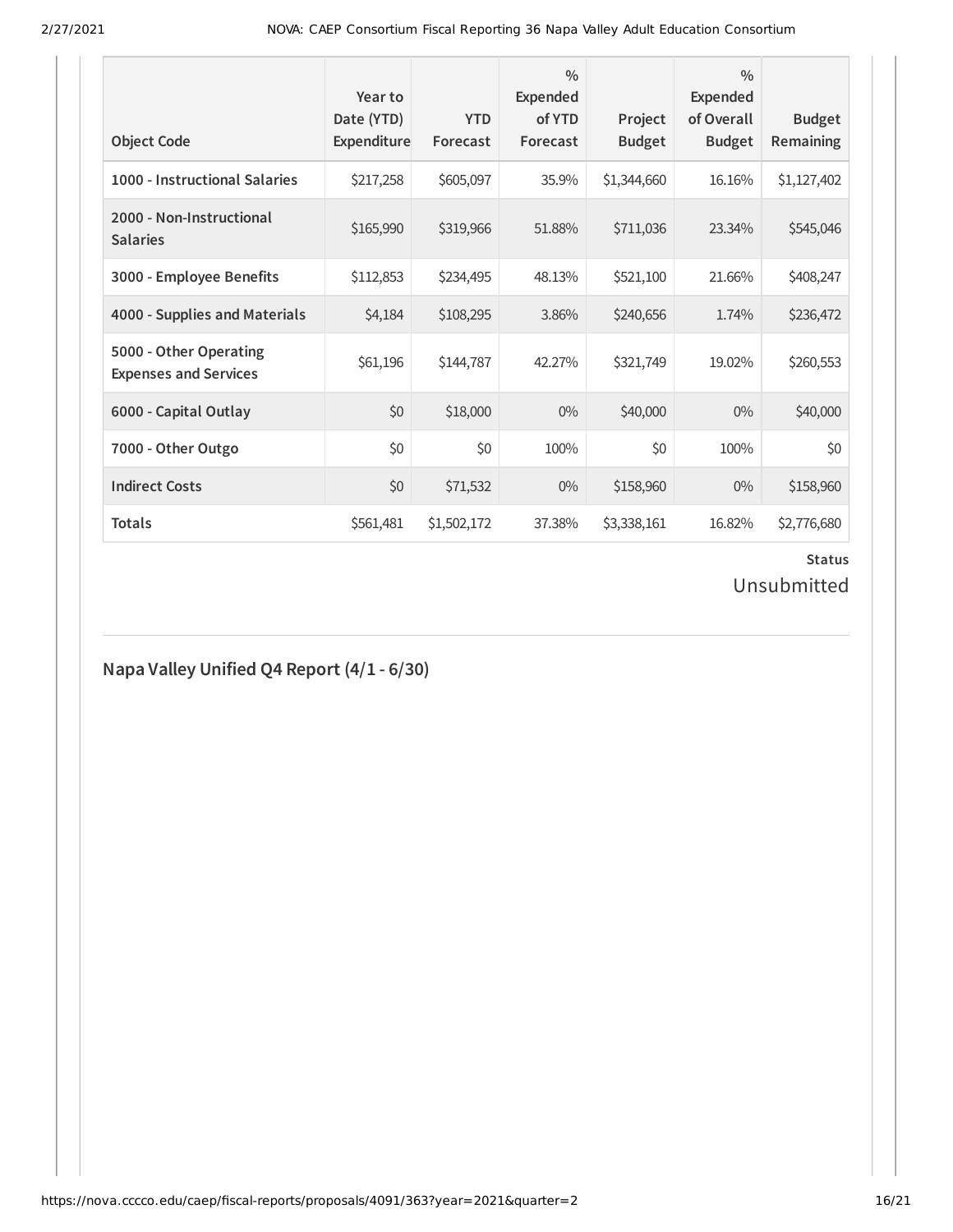| <b>Object Code</b>                                     | Year to<br>Date (YTD)<br>Expenditure | <b>YTD</b><br>Forecast | $\frac{0}{0}$<br><b>Expended</b><br>of YTD<br>Forecast | Project<br><b>Budget</b> | $\frac{0}{0}$<br><b>Expended</b><br>of Overall<br><b>Budget</b> | <b>Budget</b><br>Remaining |
|--------------------------------------------------------|--------------------------------------|------------------------|--------------------------------------------------------|--------------------------|-----------------------------------------------------------------|----------------------------|
| 1000 - Instructional Salaries                          | \$217,258                            | \$605,097              | 35.9%                                                  | \$1,344,660              | 16.16%                                                          | \$1,127,402                |
| 2000 - Non-Instructional<br><b>Salaries</b>            | \$165,990                            | \$319,966              | 51.88%                                                 | \$711,036                | 23.34%                                                          | \$545,046                  |
| 3000 - Employee Benefits                               | \$112,853                            | \$234,495              | 48.13%                                                 | \$521,100                | 21.66%                                                          | \$408,247                  |
| 4000 - Supplies and Materials                          | \$4,184                              | \$108,295              | 3.86%                                                  | \$240,656                | 1.74%                                                           | \$236,472                  |
| 5000 - Other Operating<br><b>Expenses and Services</b> | \$61,196                             | \$144,787              | 42.27%                                                 | \$321,749                | 19.02%                                                          | \$260,553                  |
| 6000 - Capital Outlay                                  | \$0                                  | \$18,000               | $0\%$                                                  | \$40,000                 | $0\%$                                                           | \$40,000                   |
| 7000 - Other Outgo                                     | \$0                                  | \$0                    | 100%                                                   | \$0                      | 100%                                                            | \$0                        |
| <b>Indirect Costs</b>                                  | \$0                                  | \$71,532               | $0\%$                                                  | \$158,960                | $0\%$                                                           | \$158,960                  |
| <b>Totals</b>                                          | \$561,481                            | \$1,502,172            | 37.38%                                                 | \$3,338,161              | 16.82%                                                          | \$2,776,680                |

# **Status**

Unsubmitted

#### **Napa Valley Unified Q4 Report (4/1 - 6/30)**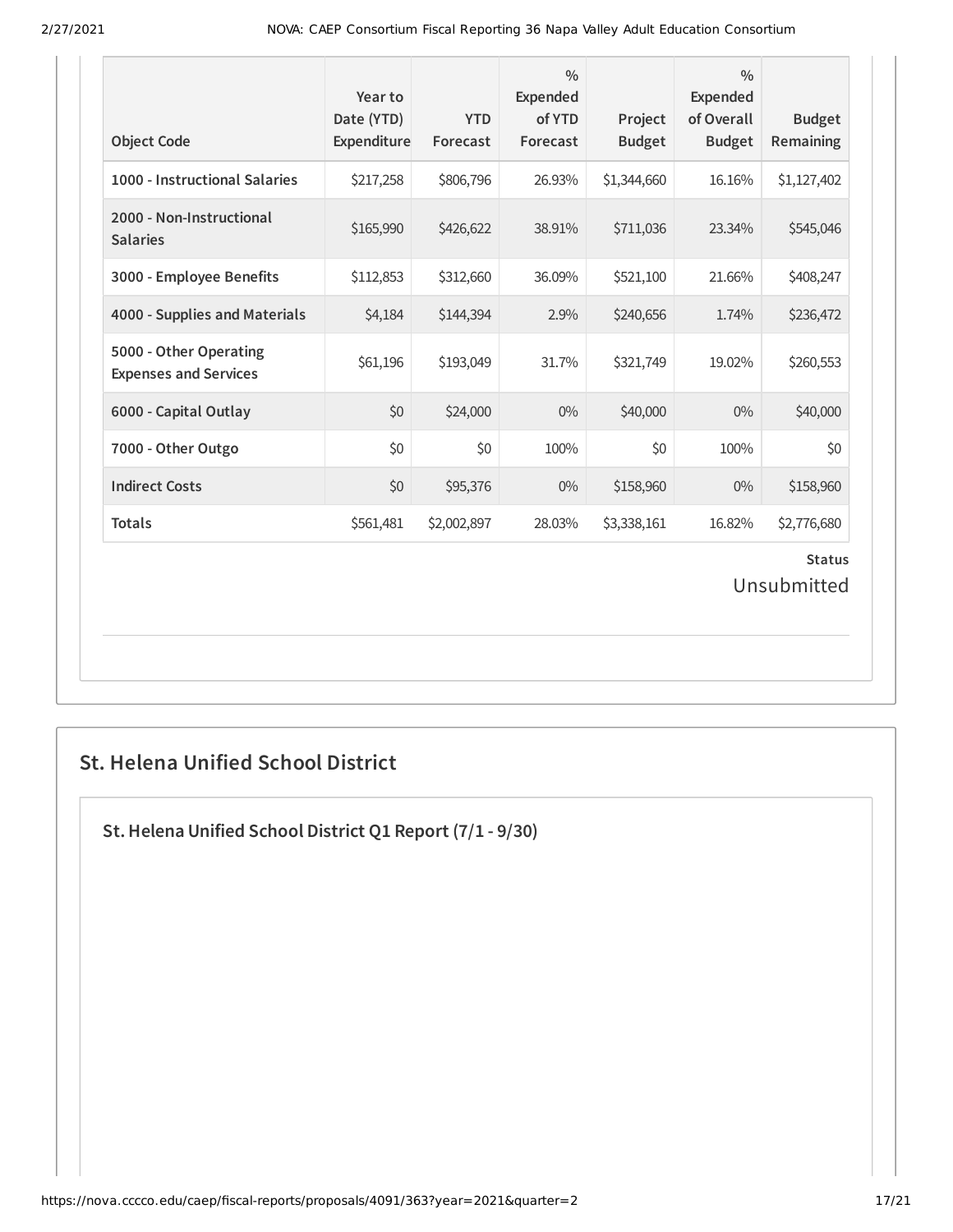| <b>Object Code</b>                                     | Year to<br>Date (YTD)<br>Expenditure | <b>YTD</b><br>Forecast | $\frac{0}{0}$<br>Expended<br>of YTD<br>Forecast | Project<br><b>Budget</b> | $\frac{0}{0}$<br>Expended<br>of Overall<br><b>Budget</b> | <b>Budget</b><br>Remaining |  |  |
|--------------------------------------------------------|--------------------------------------|------------------------|-------------------------------------------------|--------------------------|----------------------------------------------------------|----------------------------|--|--|
| 1000 - Instructional Salaries                          | \$217,258                            | \$806,796              | 26.93%                                          | \$1,344,660              | 16.16%                                                   | \$1,127,402                |  |  |
| 2000 - Non-Instructional<br><b>Salaries</b>            | \$165,990                            | \$426,622              | 38.91%                                          | \$711,036                | 23.34%                                                   | \$545,046                  |  |  |
| 3000 - Employee Benefits                               | \$112,853                            | \$312,660              | 36.09%                                          | \$521,100                | 21.66%                                                   | \$408,247                  |  |  |
| 4000 - Supplies and Materials                          | \$4,184                              | \$144,394              | 2.9%                                            | \$240,656                | 1.74%                                                    | \$236,472                  |  |  |
| 5000 - Other Operating<br><b>Expenses and Services</b> | \$61,196                             | \$193,049              | 31.7%                                           | \$321,749                | 19.02%                                                   | \$260,553                  |  |  |
| 6000 - Capital Outlay                                  | \$0                                  | \$24,000               | $0\%$                                           | \$40,000                 | $0\%$                                                    | \$40,000                   |  |  |
| 7000 - Other Outgo                                     | \$0                                  | \$0                    | 100%                                            | \$0                      | 100%                                                     | \$0                        |  |  |
| <b>Indirect Costs</b>                                  | \$0                                  | \$95,376               | $0\%$                                           | \$158,960                | $0\%$                                                    | \$158,960                  |  |  |
| <b>Totals</b>                                          | \$561,481                            | \$2,002,897            | 28.03%                                          | \$3,338,161              | 16.82%                                                   | \$2,776,680                |  |  |
| <b>Status</b><br>Unsubmitted                           |                                      |                        |                                                 |                          |                                                          |                            |  |  |

### **St. Helena Unified School District**

**St.Helena Unified School District Q1 Report (7/1 - 9/30)**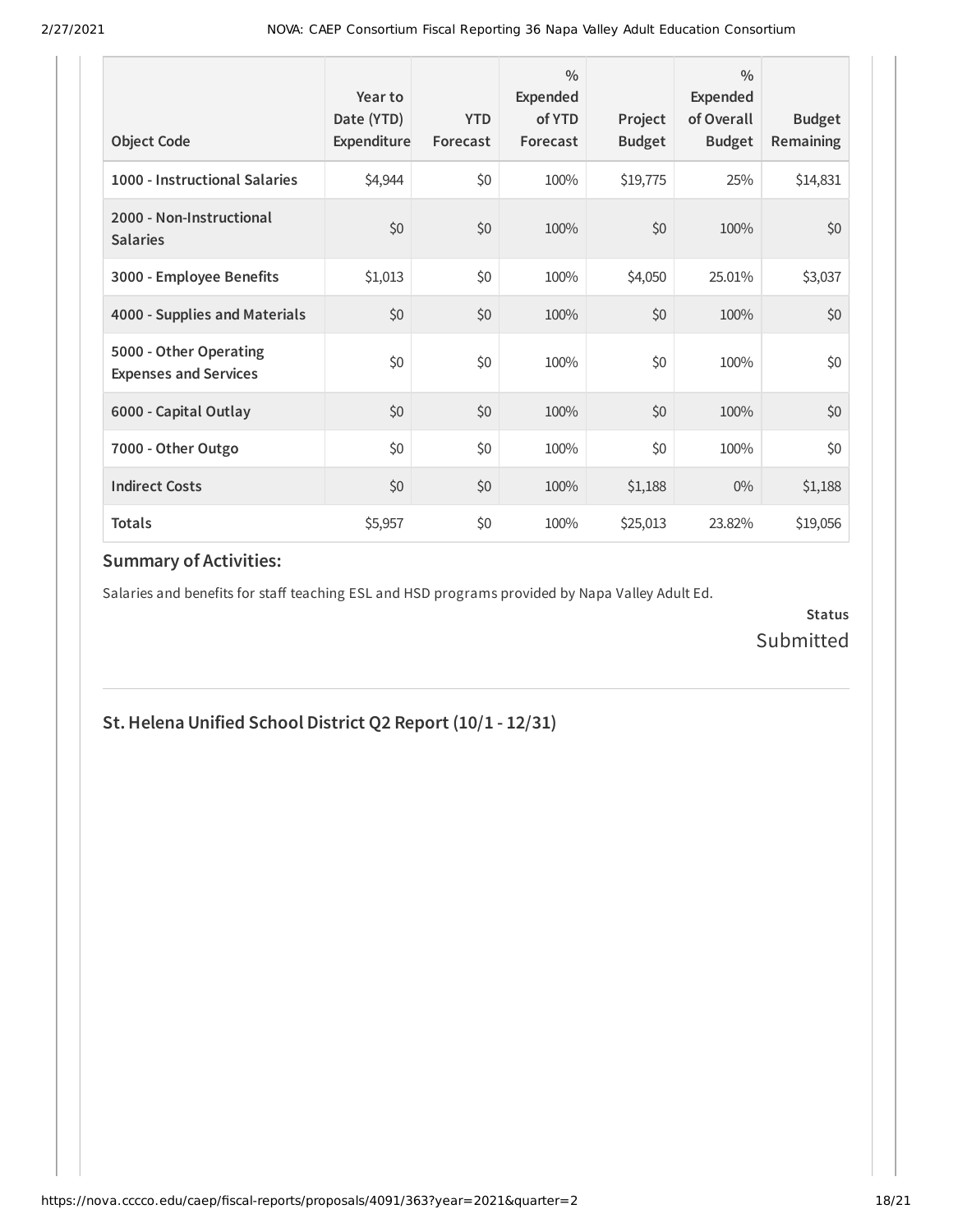| <b>Object Code</b>                                     | Year to<br>Date (YTD)<br>Expenditure | <b>YTD</b><br>Forecast | $\frac{0}{0}$<br>Expended<br>of YTD<br>Forecast | Project<br><b>Budget</b> | $\frac{0}{0}$<br>Expended<br>of Overall<br><b>Budget</b> | <b>Budget</b><br><b>Remaining</b> |
|--------------------------------------------------------|--------------------------------------|------------------------|-------------------------------------------------|--------------------------|----------------------------------------------------------|-----------------------------------|
| 1000 - Instructional Salaries                          | \$4,944                              | \$0                    | 100%                                            | \$19,775                 | 25%                                                      | \$14,831                          |
| 2000 - Non-Instructional<br><b>Salaries</b>            | \$0                                  | \$0                    | 100%                                            | \$0                      | 100%                                                     | \$0                               |
| 3000 - Employee Benefits                               | \$1,013                              | \$0                    | 100%                                            | \$4,050                  | 25.01%                                                   | \$3,037                           |
| 4000 - Supplies and Materials                          | \$0                                  | \$0                    | 100%                                            | \$0                      | 100%                                                     | \$0                               |
| 5000 - Other Operating<br><b>Expenses and Services</b> | \$0                                  | \$0                    | 100%                                            | \$0                      | 100%                                                     | \$0                               |
| 6000 - Capital Outlay                                  | \$0                                  | \$0                    | 100%                                            | \$0                      | 100%                                                     | \$0                               |
| 7000 - Other Outgo                                     | \$0                                  | \$0                    | 100%                                            | \$0                      | 100%                                                     | \$0                               |
| <b>Indirect Costs</b>                                  | \$0                                  | \$0                    | 100%                                            | \$1,188                  | $0\%$                                                    | \$1,188                           |
| <b>Totals</b>                                          | \$5,957                              | \$0                    | 100%                                            | \$25,013                 | 23.82%                                                   | \$19,056                          |

Salaries and benefits for staff teaching ESL and HSD programs provided by Napa Valley Adult Ed.

**Status** Submitted

#### **St.Helena Unified School District Q2 Report (10/1 - 12/31)**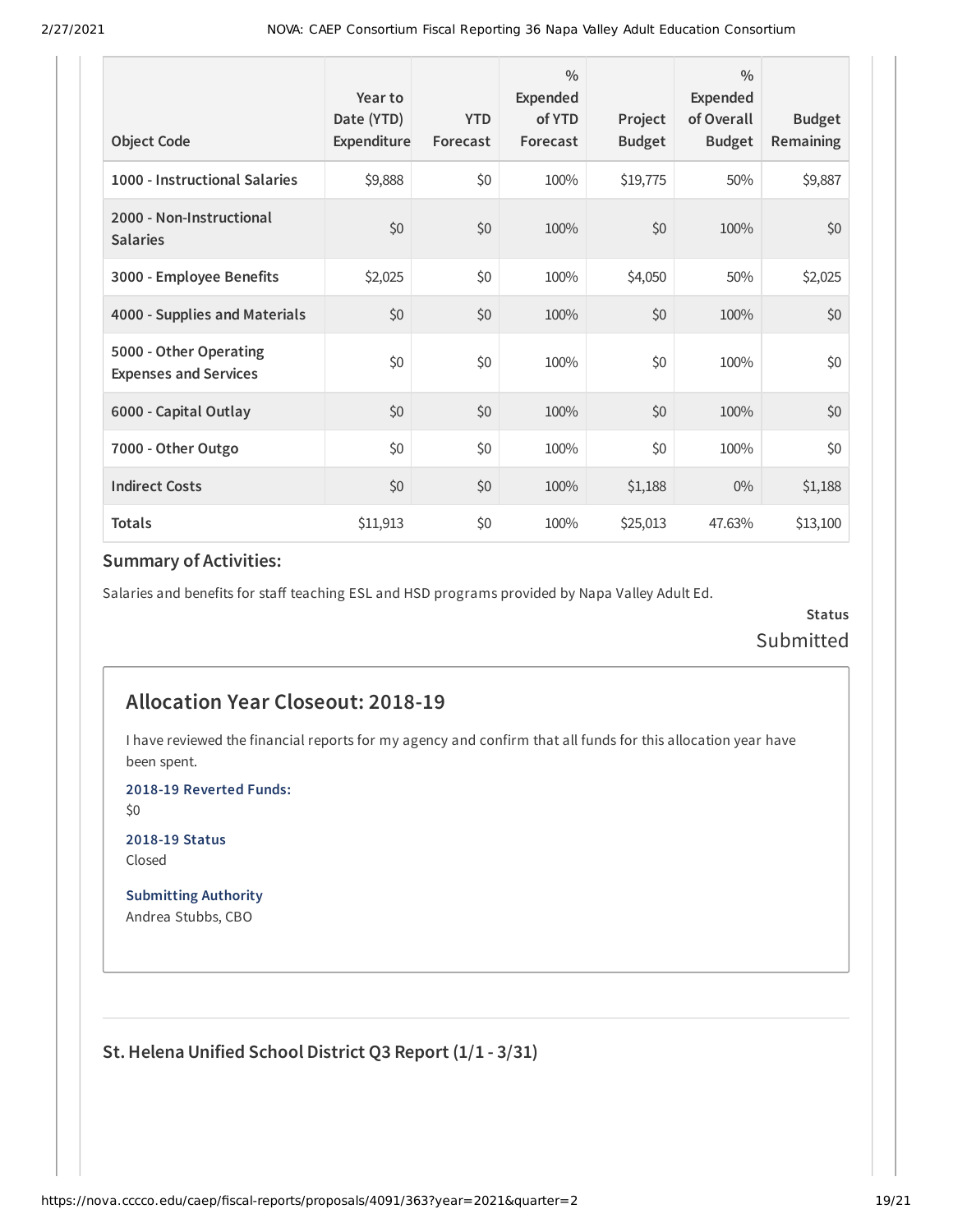| <b>Object Code</b>                                     | Year to<br>Date (YTD)<br>Expenditure | <b>YTD</b><br>Forecast | $\frac{0}{0}$<br>Expended<br>of YTD<br>Forecast | Project<br><b>Budget</b> | $\frac{0}{0}$<br><b>Expended</b><br>of Overall<br><b>Budget</b> | <b>Budget</b><br>Remaining |
|--------------------------------------------------------|--------------------------------------|------------------------|-------------------------------------------------|--------------------------|-----------------------------------------------------------------|----------------------------|
| 1000 - Instructional Salaries                          | \$9,888                              | \$0                    | 100%                                            | \$19,775                 | 50%                                                             | \$9,887                    |
| 2000 - Non-Instructional<br><b>Salaries</b>            | \$0                                  | \$0                    | 100%                                            | \$0                      | 100%                                                            | \$0                        |
| 3000 - Employee Benefits                               | \$2,025                              | \$0                    | 100%                                            | \$4,050                  | 50%                                                             | \$2,025                    |
| 4000 - Supplies and Materials                          | \$0                                  | \$0                    | 100%                                            | \$0                      | 100%                                                            | \$0                        |
| 5000 - Other Operating<br><b>Expenses and Services</b> | \$0                                  | \$0                    | 100%                                            | \$0                      | 100%                                                            | \$0                        |
| 6000 - Capital Outlay                                  | \$0                                  | \$0                    | 100%                                            | \$0                      | 100%                                                            | \$0                        |
| 7000 - Other Outgo                                     | \$0                                  | \$0                    | 100%                                            | \$0                      | 100%                                                            | \$0                        |
| <b>Indirect Costs</b>                                  | \$0                                  | \$0                    | 100%                                            | \$1,188                  | $0\%$                                                           | \$1,188                    |
| <b>Totals</b>                                          | \$11,913                             | \$0                    | 100%                                            | \$25,013                 | 47.63%                                                          | \$13,100                   |

Salaries and benefits for staff teaching ESL and HSD programs provided by Napa Valley Adult Ed.

**Status** Submitted

#### **Allocation Year Closeout: 2018-19**

I have reviewed the financial reports for my agency and confirm that all funds for this allocation year have been spent.

**2018-19 Reverted Funds:**

\$0

**2018-19 Status** Closed

**Submitting Authority** Andrea Stubbs, CBO

**St.Helena Unified School District Q3 Report (1/1 - 3/31)**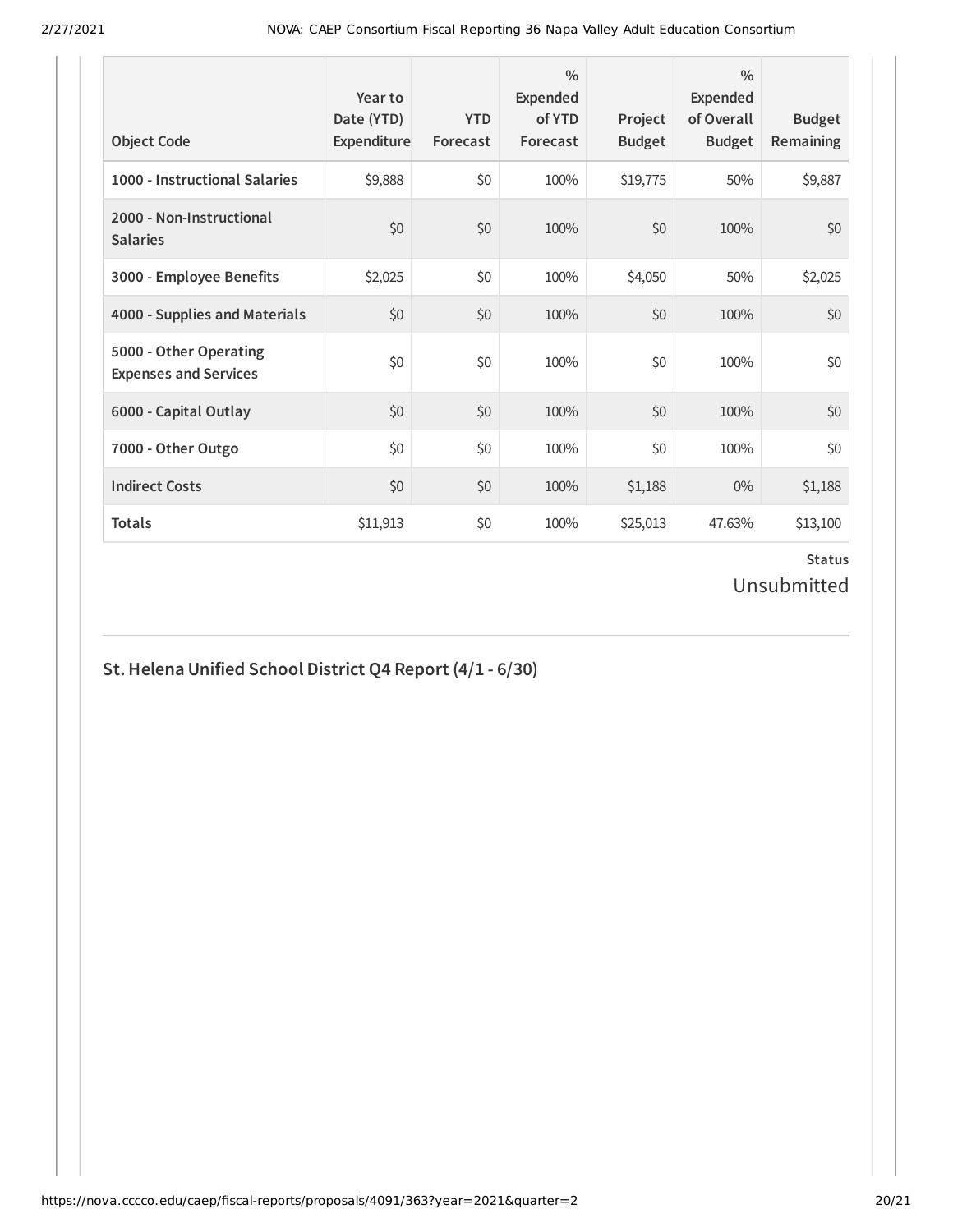| <b>Object Code</b>                                     | Year to<br>Date (YTD)<br>Expenditure | <b>YTD</b><br>Forecast | $\frac{0}{0}$<br><b>Expended</b><br>of YTD<br>Forecast | Project<br><b>Budget</b> | $\frac{0}{0}$<br>Expended<br>of Overall<br><b>Budget</b> | <b>Budget</b><br><b>Remaining</b> |
|--------------------------------------------------------|--------------------------------------|------------------------|--------------------------------------------------------|--------------------------|----------------------------------------------------------|-----------------------------------|
| 1000 - Instructional Salaries                          | \$9,888                              | \$0                    | 100%                                                   | \$19,775                 | 50%                                                      | \$9,887                           |
| 2000 - Non-Instructional<br><b>Salaries</b>            | \$0                                  | \$0                    | 100%                                                   | \$0                      | 100%                                                     | \$0                               |
| 3000 - Employee Benefits                               | \$2,025                              | \$0                    | 100%                                                   | \$4,050                  | 50%                                                      | \$2,025                           |
| 4000 - Supplies and Materials                          | \$0                                  | \$0                    | 100%                                                   | \$0                      | 100%                                                     | \$0                               |
| 5000 - Other Operating<br><b>Expenses and Services</b> | \$0                                  | \$0                    | 100%                                                   | \$0                      | 100%                                                     | \$0                               |
| 6000 - Capital Outlay                                  | \$0                                  | \$0                    | 100%                                                   | \$0                      | 100%                                                     | \$0                               |
| 7000 - Other Outgo                                     | \$0                                  | \$0                    | 100%                                                   | \$0                      | 100%                                                     | \$0                               |
| <b>Indirect Costs</b>                                  | \$0                                  | \$0                    | 100%                                                   | \$1,188                  | $0\%$                                                    | \$1,188                           |
| <b>Totals</b>                                          | \$11,913                             | \$0                    | 100%                                                   | \$25,013                 | 47.63%                                                   | \$13,100                          |

#### **Status** Unsubmitted

## **St.Helena Unified School District Q4 Report (4/1 - 6/30)**